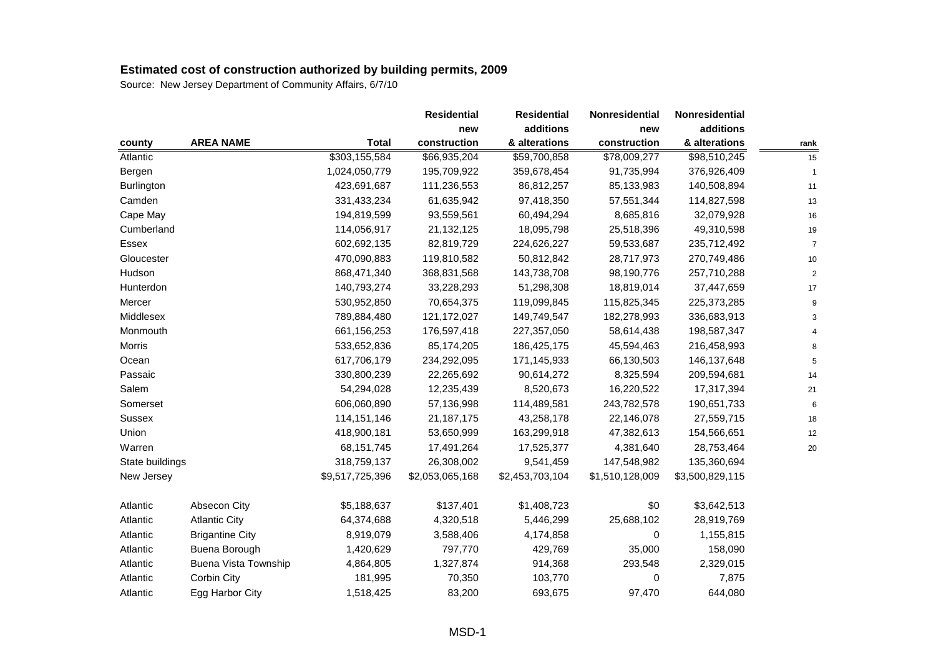| additions<br>additions<br>new<br>new<br><b>AREA NAME</b><br><b>Total</b><br>construction<br>& alterations<br>construction<br>& alterations<br>county<br>\$303,155,584<br>Atlantic<br>\$66,935,204<br>\$59,700,858<br>\$78,009,277<br>\$98,510,245<br>Bergen<br>1,024,050,779<br>195,709,922<br>359,678,454<br>91,735,994<br>376,926,409<br>Burlington<br>423,691,687<br>111,236,553<br>86,812,257<br>85,133,983<br>140,508,894<br>331,433,234<br>61,635,942<br>97,418,350<br>57,551,344<br>Camden<br>114,827,598<br>Cape May<br>194,819,599<br>93,559,561<br>60,494,294<br>8,685,816<br>32,079,928 | rank<br>15<br>$\mathbf{1}$<br>11 |
|----------------------------------------------------------------------------------------------------------------------------------------------------------------------------------------------------------------------------------------------------------------------------------------------------------------------------------------------------------------------------------------------------------------------------------------------------------------------------------------------------------------------------------------------------------------------------------------------------|----------------------------------|
|                                                                                                                                                                                                                                                                                                                                                                                                                                                                                                                                                                                                    |                                  |
|                                                                                                                                                                                                                                                                                                                                                                                                                                                                                                                                                                                                    |                                  |
|                                                                                                                                                                                                                                                                                                                                                                                                                                                                                                                                                                                                    |                                  |
|                                                                                                                                                                                                                                                                                                                                                                                                                                                                                                                                                                                                    |                                  |
|                                                                                                                                                                                                                                                                                                                                                                                                                                                                                                                                                                                                    |                                  |
|                                                                                                                                                                                                                                                                                                                                                                                                                                                                                                                                                                                                    | 13                               |
|                                                                                                                                                                                                                                                                                                                                                                                                                                                                                                                                                                                                    | $16\,$                           |
| Cumberland<br>21,132,125<br>25,518,396<br>114,056,917<br>18,095,798<br>49,310,598                                                                                                                                                                                                                                                                                                                                                                                                                                                                                                                  | 19                               |
| 602,692,135<br>82,819,729<br>224,626,227<br>59,533,687<br>235,712,492<br>Essex                                                                                                                                                                                                                                                                                                                                                                                                                                                                                                                     | $\overline{7}$                   |
| 470,090,883<br>119,810,582<br>50,812,842<br>Gloucester<br>28,717,973<br>270,749,486                                                                                                                                                                                                                                                                                                                                                                                                                                                                                                                | 10                               |
| Hudson<br>868,471,340<br>368,831,568<br>143,738,708<br>98,190,776<br>257,710,288                                                                                                                                                                                                                                                                                                                                                                                                                                                                                                                   | $\overline{2}$                   |
| 140,793,274<br>33,228,293<br>51,298,308<br>18,819,014<br>Hunterdon<br>37,447,659                                                                                                                                                                                                                                                                                                                                                                                                                                                                                                                   | 17                               |
| Mercer<br>530,952,850<br>70,654,375<br>119,099,845<br>115,825,345<br>225,373,285                                                                                                                                                                                                                                                                                                                                                                                                                                                                                                                   | 9                                |
| Middlesex<br>789,884,480<br>121, 172, 027<br>149,749,547<br>182,278,993<br>336,683,913                                                                                                                                                                                                                                                                                                                                                                                                                                                                                                             | 3                                |
| Monmouth<br>661,156,253<br>176,597,418<br>227,357,050<br>58,614,438<br>198,587,347                                                                                                                                                                                                                                                                                                                                                                                                                                                                                                                 | $\Delta$                         |
| 533,652,836<br>85,174,205<br>186,425,175<br>45,594,463<br>Morris<br>216,458,993                                                                                                                                                                                                                                                                                                                                                                                                                                                                                                                    | 8                                |
| Ocean<br>617,706,179<br>234,292,095<br>171,145,933<br>66,130,503<br>146, 137, 648                                                                                                                                                                                                                                                                                                                                                                                                                                                                                                                  | 5                                |
| Passaic<br>330,800,239<br>90,614,272<br>8,325,594<br>209,594,681<br>22,265,692                                                                                                                                                                                                                                                                                                                                                                                                                                                                                                                     | 14                               |
| Salem<br>54,294,028<br>12,235,439<br>8,520,673<br>16,220,522<br>17,317,394                                                                                                                                                                                                                                                                                                                                                                                                                                                                                                                         | 21                               |
| 606,060,890<br>Somerset<br>57,136,998<br>114,489,581<br>243,782,578<br>190,651,733                                                                                                                                                                                                                                                                                                                                                                                                                                                                                                                 | 6                                |
| 114, 151, 146<br>43,258,178<br>22,146,078<br>Sussex<br>21, 187, 175<br>27,559,715                                                                                                                                                                                                                                                                                                                                                                                                                                                                                                                  | 18                               |
| Union<br>418,900,181<br>53,650,999<br>163,299,918<br>47,382,613<br>154,566,651                                                                                                                                                                                                                                                                                                                                                                                                                                                                                                                     | 12                               |
| 68, 151, 745<br>17,491,264<br>17,525,377<br>28,753,464<br>Warren<br>4,381,640                                                                                                                                                                                                                                                                                                                                                                                                                                                                                                                      | 20                               |
| State buildings<br>318,759,137<br>26,308,002<br>9,541,459<br>147,548,982<br>135,360,694                                                                                                                                                                                                                                                                                                                                                                                                                                                                                                            |                                  |
| \$9,517,725,396<br>\$2,053,065,168<br>\$2,453,703,104<br>\$1,510,128,009<br>New Jersey<br>\$3,500,829,115                                                                                                                                                                                                                                                                                                                                                                                                                                                                                          |                                  |
| Absecon City<br>\$5,188,637<br>\$137,401<br>\$1,408,723<br>\$0<br>\$3,642,513<br>Atlantic                                                                                                                                                                                                                                                                                                                                                                                                                                                                                                          |                                  |
| <b>Atlantic City</b><br>64,374,688<br>25,688,102<br>Atlantic<br>4,320,518<br>5,446,299<br>28,919,769                                                                                                                                                                                                                                                                                                                                                                                                                                                                                               |                                  |
| Atlantic<br><b>Brigantine City</b><br>8,919,079<br>3,588,406<br>4,174,858<br>0<br>1,155,815                                                                                                                                                                                                                                                                                                                                                                                                                                                                                                        |                                  |
| Buena Borough<br>1,420,629<br>797,770<br>429,769<br>35,000<br>158,090<br>Atlantic                                                                                                                                                                                                                                                                                                                                                                                                                                                                                                                  |                                  |
| Buena Vista Township<br>4,864,805<br>1,327,874<br>914,368<br>293,548<br>2,329,015<br>Atlantic                                                                                                                                                                                                                                                                                                                                                                                                                                                                                                      |                                  |
| Corbin City<br>Atlantic<br>181,995<br>70,350<br>103,770<br>0<br>7,875                                                                                                                                                                                                                                                                                                                                                                                                                                                                                                                              |                                  |
| Egg Harbor City<br>1,518,425<br>83,200<br>693,675<br>97,470<br>Atlantic<br>644,080                                                                                                                                                                                                                                                                                                                                                                                                                                                                                                                 |                                  |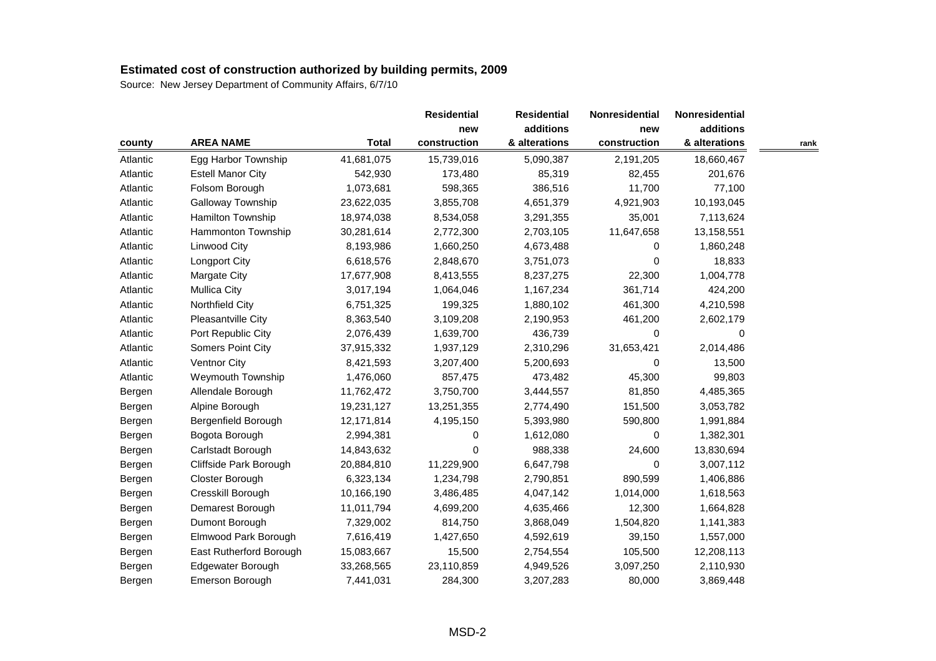|          |                          |              | <b>Residential</b> | <b>Residential</b> | Nonresidential | Nonresidential |      |
|----------|--------------------------|--------------|--------------------|--------------------|----------------|----------------|------|
|          |                          |              | new                | additions          | new            | additions      |      |
| county   | <b>AREA NAME</b>         | <b>Total</b> | construction       | & alterations      | construction   | & alterations  | rank |
| Atlantic | Egg Harbor Township      | 41,681,075   | 15,739,016         | 5,090,387          | 2,191,205      | 18,660,467     |      |
| Atlantic | <b>Estell Manor City</b> | 542,930      | 173,480            | 85,319             | 82,455         | 201,676        |      |
| Atlantic | Folsom Borough           | 1,073,681    | 598,365            | 386,516            | 11,700         | 77,100         |      |
| Atlantic | Galloway Township        | 23,622,035   | 3,855,708          | 4,651,379          | 4,921,903      | 10,193,045     |      |
| Atlantic | Hamilton Township        | 18,974,038   | 8,534,058          | 3,291,355          | 35,001         | 7,113,624      |      |
| Atlantic | Hammonton Township       | 30,281,614   | 2,772,300          | 2,703,105          | 11,647,658     | 13,158,551     |      |
| Atlantic | Linwood City             | 8,193,986    | 1,660,250          | 4,673,488          | 0              | 1,860,248      |      |
| Atlantic | Longport City            | 6,618,576    | 2,848,670          | 3,751,073          | 0              | 18,833         |      |
| Atlantic | Margate City             | 17,677,908   | 8,413,555          | 8,237,275          | 22,300         | 1,004,778      |      |
| Atlantic | <b>Mullica City</b>      | 3,017,194    | 1,064,046          | 1,167,234          | 361,714        | 424,200        |      |
| Atlantic | Northfield City          | 6,751,325    | 199,325            | 1,880,102          | 461,300        | 4,210,598      |      |
| Atlantic | Pleasantville City       | 8,363,540    | 3,109,208          | 2,190,953          | 461,200        | 2,602,179      |      |
| Atlantic | Port Republic City       | 2,076,439    | 1,639,700          | 436,739            | 0              | 0              |      |
| Atlantic | Somers Point City        | 37,915,332   | 1,937,129          | 2,310,296          | 31,653,421     | 2,014,486      |      |
| Atlantic | Ventnor City             | 8,421,593    | 3,207,400          | 5,200,693          | 0              | 13,500         |      |
| Atlantic | Weymouth Township        | 1,476,060    | 857,475            | 473,482            | 45,300         | 99,803         |      |
| Bergen   | Allendale Borough        | 11,762,472   | 3,750,700          | 3,444,557          | 81,850         | 4,485,365      |      |
| Bergen   | Alpine Borough           | 19,231,127   | 13,251,355         | 2,774,490          | 151,500        | 3,053,782      |      |
| Bergen   | Bergenfield Borough      | 12,171,814   | 4,195,150          | 5,393,980          | 590,800        | 1,991,884      |      |
| Bergen   | Bogota Borough           | 2,994,381    | 0                  | 1,612,080          | 0              | 1,382,301      |      |
| Bergen   | Carlstadt Borough        | 14,843,632   | 0                  | 988,338            | 24,600         | 13,830,694     |      |
| Bergen   | Cliffside Park Borough   | 20,884,810   | 11,229,900         | 6,647,798          | 0              | 3,007,112      |      |
| Bergen   | Closter Borough          | 6,323,134    | 1,234,798          | 2,790,851          | 890,599        | 1,406,886      |      |
| Bergen   | Cresskill Borough        | 10,166,190   | 3,486,485          | 4,047,142          | 1,014,000      | 1,618,563      |      |
| Bergen   | Demarest Borough         | 11,011,794   | 4,699,200          | 4,635,466          | 12,300         | 1,664,828      |      |
| Bergen   | Dumont Borough           | 7,329,002    | 814,750            | 3,868,049          | 1,504,820      | 1,141,383      |      |
| Bergen   | Elmwood Park Borough     | 7,616,419    | 1,427,650          | 4,592,619          | 39,150         | 1,557,000      |      |
| Bergen   | East Rutherford Borough  | 15,083,667   | 15,500             | 2,754,554          | 105,500        | 12,208,113     |      |
| Bergen   | Edgewater Borough        | 33,268,565   | 23,110,859         | 4,949,526          | 3,097,250      | 2,110,930      |      |
| Bergen   | Emerson Borough          | 7,441,031    | 284,300            | 3,207,283          | 80,000         | 3,869,448      |      |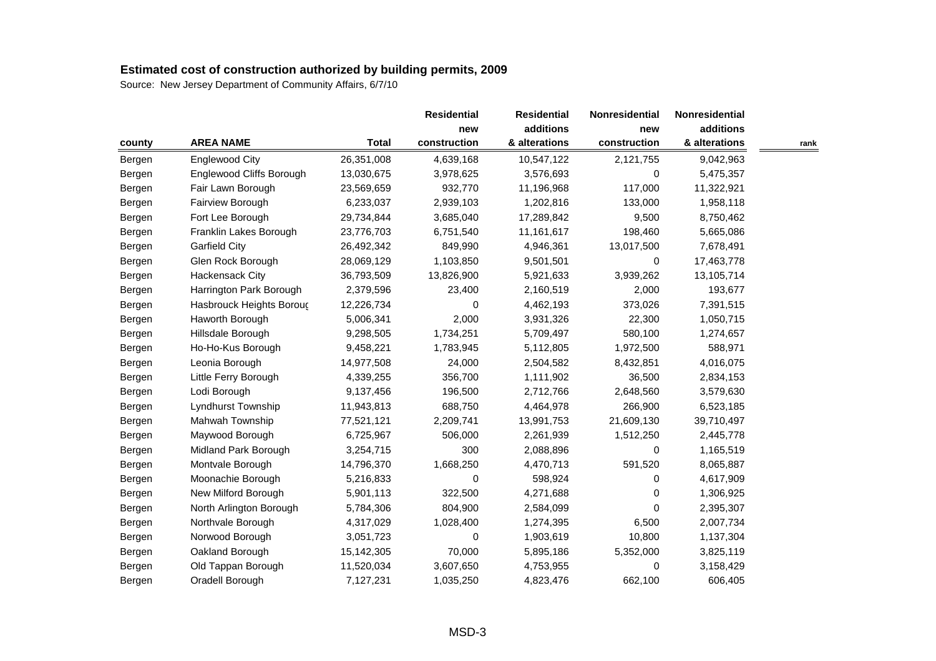|        |                          |              | <b>Residential</b> | <b>Residential</b> | Nonresidential | Nonresidential |      |
|--------|--------------------------|--------------|--------------------|--------------------|----------------|----------------|------|
|        |                          |              |                    | additions          | new            | additions      |      |
| county | <b>AREA NAME</b>         | <b>Total</b> | construction       | & alterations      | construction   | & alterations  | rank |
| Bergen | <b>Englewood City</b>    | 26,351,008   | 4,639,168          | 10,547,122         | 2,121,755      | 9,042,963      |      |
| Bergen | Englewood Cliffs Borough | 13,030,675   | 3,978,625          | 3,576,693          | 0              | 5,475,357      |      |
| Bergen | Fair Lawn Borough        | 23,569,659   | 932,770            | 11,196,968         | 117,000        | 11,322,921     |      |
| Bergen | Fairview Borough         | 6,233,037    | 2,939,103          | 1,202,816          | 133,000        | 1,958,118      |      |
| Bergen | Fort Lee Borough         | 29,734,844   | 3,685,040          | 17,289,842         | 9,500          | 8,750,462      |      |
| Bergen | Franklin Lakes Borough   | 23,776,703   | 6,751,540          | 11,161,617         | 198,460        | 5,665,086      |      |
| Bergen | <b>Garfield City</b>     | 26,492,342   | 849,990            | 4,946,361          | 13,017,500     | 7,678,491      |      |
| Bergen | Glen Rock Borough        | 28,069,129   | 1,103,850          | 9,501,501          | 0              | 17,463,778     |      |
| Bergen | Hackensack City          | 36,793,509   | 13,826,900         | 5,921,633          | 3,939,262      | 13,105,714     |      |
| Bergen | Harrington Park Borough  | 2,379,596    | 23,400             | 2,160,519          | 2,000          | 193,677        |      |
| Bergen | Hasbrouck Heights Borouc | 12,226,734   | 0                  | 4,462,193          | 373,026        | 7,391,515      |      |
| Bergen | Haworth Borough          | 5,006,341    | 2,000              | 3,931,326          | 22,300         | 1,050,715      |      |
| Bergen | Hillsdale Borough        | 9,298,505    | 1,734,251          | 5,709,497          | 580,100        | 1,274,657      |      |
| Bergen | Ho-Ho-Kus Borough        | 9,458,221    | 1,783,945          | 5,112,805          | 1,972,500      | 588,971        |      |
| Bergen | Leonia Borough           | 14,977,508   | 24,000             | 2,504,582          | 8,432,851      | 4,016,075      |      |
| Bergen | Little Ferry Borough     | 4,339,255    | 356,700            | 1,111,902          | 36,500         | 2,834,153      |      |
| Bergen | Lodi Borough             | 9,137,456    | 196,500            | 2,712,766          | 2,648,560      | 3,579,630      |      |
| Bergen | Lyndhurst Township       | 11,943,813   | 688,750            | 4,464,978          | 266,900        | 6,523,185      |      |
| Bergen | Mahwah Township          | 77,521,121   | 2,209,741          | 13,991,753         | 21,609,130     | 39,710,497     |      |
| Bergen | Maywood Borough          | 6,725,967    | 506,000            | 2,261,939          | 1,512,250      | 2,445,778      |      |
| Bergen | Midland Park Borough     | 3,254,715    | 300                | 2,088,896          | 0              | 1,165,519      |      |
| Bergen | Montvale Borough         | 14,796,370   | 1,668,250          | 4,470,713          | 591,520        | 8,065,887      |      |
| Bergen | Moonachie Borough        | 5,216,833    | 0                  | 598,924            | 0              | 4,617,909      |      |
| Bergen | New Milford Borough      | 5,901,113    | 322,500            | 4,271,688          | 0              | 1,306,925      |      |
| Bergen | North Arlington Borough  | 5,784,306    | 804,900            | 2,584,099          | 0              | 2,395,307      |      |
| Bergen | Northvale Borough        | 4,317,029    | 1,028,400          | 1,274,395          | 6,500          | 2,007,734      |      |
| Bergen | Norwood Borough          | 3,051,723    | 0                  | 1,903,619          | 10,800         | 1,137,304      |      |
| Bergen | Oakland Borough          | 15,142,305   | 70,000             | 5,895,186          | 5,352,000      | 3,825,119      |      |
| Bergen | Old Tappan Borough       | 11,520,034   | 3,607,650          | 4,753,955          | 0              | 3,158,429      |      |
| Bergen | Oradell Borough          | 7,127,231    | 1,035,250          | 4,823,476          | 662,100        | 606,405        |      |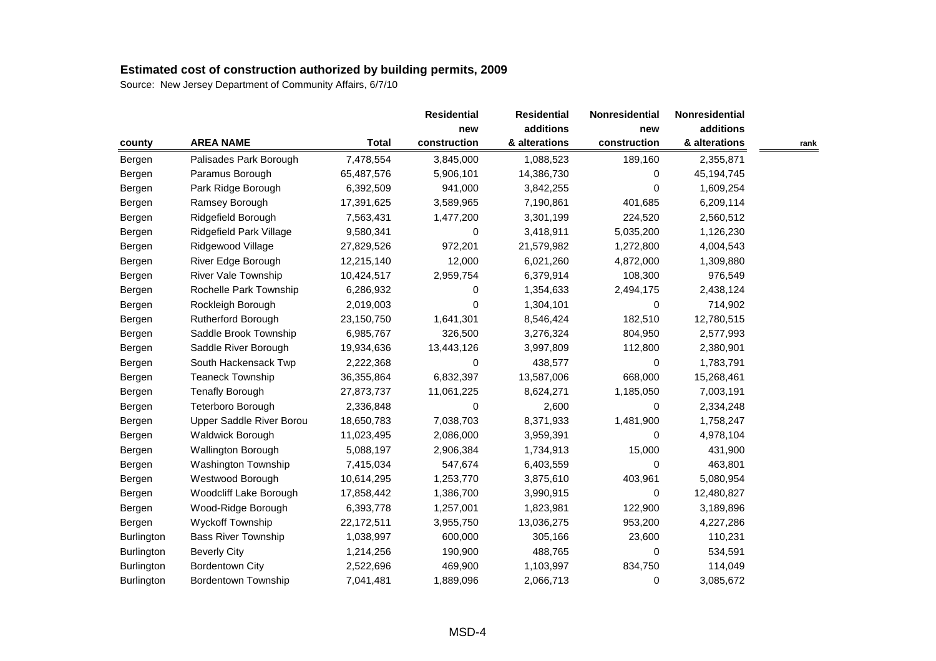|                   |                            |              | <b>Residential</b> | <b>Residential</b> | Nonresidential | Nonresidential |      |
|-------------------|----------------------------|--------------|--------------------|--------------------|----------------|----------------|------|
|                   |                            |              | new                | additions          | new            | additions      |      |
| county            | <b>AREA NAME</b>           | <b>Total</b> | construction       | & alterations      | construction   | & alterations  | rank |
| Bergen            | Palisades Park Borough     | 7,478,554    | 3,845,000          | 1,088,523          | 189,160        | 2,355,871      |      |
| Bergen            | Paramus Borough            | 65,487,576   | 5,906,101          | 14,386,730         | 0              | 45, 194, 745   |      |
| Bergen            | Park Ridge Borough         | 6,392,509    | 941,000            | 3,842,255          | 0              | 1,609,254      |      |
| Bergen            | Ramsey Borough             | 17,391,625   | 3,589,965          | 7,190,861          | 401,685        | 6,209,114      |      |
| Bergen            | Ridgefield Borough         | 7,563,431    | 1,477,200          | 3,301,199          | 224,520        | 2,560,512      |      |
| Bergen            | Ridgefield Park Village    | 9,580,341    | 0                  | 3,418,911          | 5,035,200      | 1,126,230      |      |
| Bergen            | Ridgewood Village          | 27,829,526   | 972,201            | 21,579,982         | 1,272,800      | 4,004,543      |      |
| Bergen            | River Edge Borough         | 12,215,140   | 12,000             | 6,021,260          | 4,872,000      | 1,309,880      |      |
| Bergen            | <b>River Vale Township</b> | 10,424,517   | 2,959,754          | 6,379,914          | 108,300        | 976,549        |      |
| Bergen            | Rochelle Park Township     | 6,286,932    | 0                  | 1,354,633          | 2,494,175      | 2,438,124      |      |
| Bergen            | Rockleigh Borough          | 2,019,003    | 0                  | 1,304,101          | 0              | 714,902        |      |
| Bergen            | Rutherford Borough         | 23,150,750   | 1,641,301          | 8,546,424          | 182,510        | 12,780,515     |      |
| Bergen            | Saddle Brook Township      | 6,985,767    | 326,500            | 3,276,324          | 804,950        | 2,577,993      |      |
| Bergen            | Saddle River Borough       | 19,934,636   | 13,443,126         | 3,997,809          | 112,800        | 2,380,901      |      |
| Bergen            | South Hackensack Twp       | 2,222,368    | 0                  | 438,577            | 0              | 1,783,791      |      |
| Bergen            | <b>Teaneck Township</b>    | 36,355,864   | 6,832,397          | 13,587,006         | 668,000        | 15,268,461     |      |
| Bergen            | <b>Tenafly Borough</b>     | 27,873,737   | 11,061,225         | 8,624,271          | 1,185,050      | 7,003,191      |      |
| Bergen            | Teterboro Borough          | 2,336,848    | 0                  | 2,600              | $\Omega$       | 2,334,248      |      |
| Bergen            | Upper Saddle River Borou   | 18,650,783   | 7,038,703          | 8,371,933          | 1,481,900      | 1,758,247      |      |
| Bergen            | Waldwick Borough           | 11,023,495   | 2,086,000          | 3,959,391          | 0              | 4,978,104      |      |
| Bergen            | Wallington Borough         | 5,088,197    | 2,906,384          | 1,734,913          | 15,000         | 431,900        |      |
| Bergen            | Washington Township        | 7,415,034    | 547,674            | 6,403,559          | 0              | 463,801        |      |
| Bergen            | Westwood Borough           | 10,614,295   | 1,253,770          | 3,875,610          | 403,961        | 5,080,954      |      |
| Bergen            | Woodcliff Lake Borough     | 17,858,442   | 1,386,700          | 3,990,915          | 0              | 12,480,827     |      |
| Bergen            | Wood-Ridge Borough         | 6,393,778    | 1,257,001          | 1,823,981          | 122,900        | 3,189,896      |      |
| Bergen            | Wyckoff Township           | 22,172,511   | 3,955,750          | 13,036,275         | 953,200        | 4,227,286      |      |
| Burlington        | <b>Bass River Township</b> | 1,038,997    | 600,000            | 305,166            | 23,600         | 110,231        |      |
| <b>Burlington</b> | <b>Beverly City</b>        | 1,214,256    | 190,900            | 488,765            | 0              | 534,591        |      |
| Burlington        | <b>Bordentown City</b>     | 2,522,696    | 469,900            | 1,103,997          | 834,750        | 114,049        |      |
| <b>Burlington</b> | Bordentown Township        | 7,041,481    | 1,889,096          | 2,066,713          | 0              | 3,085,672      |      |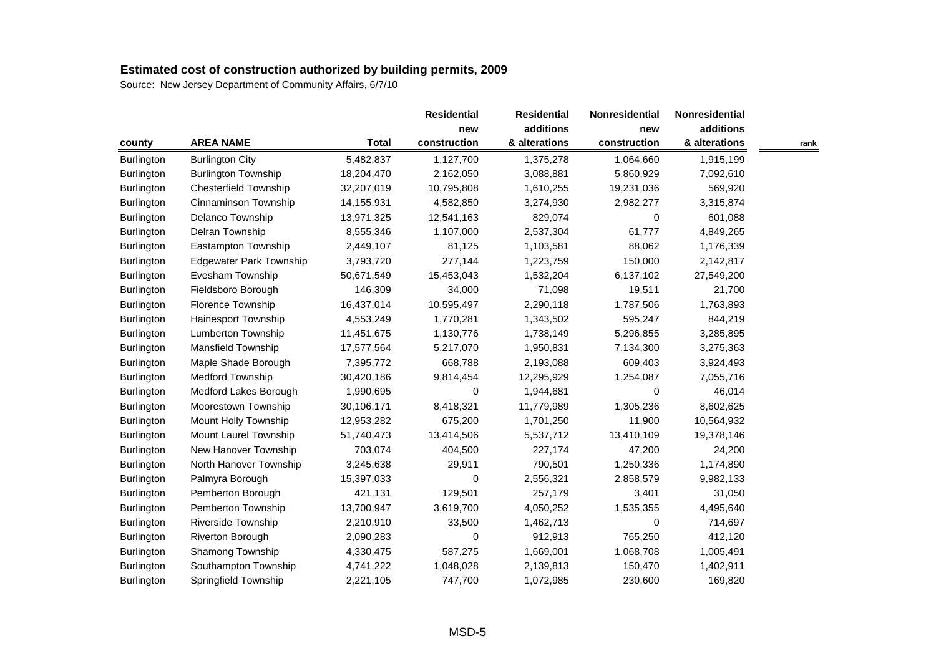|                   |                                |              | <b>Residential</b> | <b>Residential</b> | Nonresidential | Nonresidential |      |
|-------------------|--------------------------------|--------------|--------------------|--------------------|----------------|----------------|------|
|                   |                                |              | new                | additions          | new            | additions      |      |
| county            | <b>AREA NAME</b>               | <b>Total</b> | construction       | & alterations      | construction   | & alterations  | rank |
| Burlington        | <b>Burlington City</b>         | 5,482,837    | 1,127,700          | 1,375,278          | 1,064,660      | 1,915,199      |      |
| Burlington        | <b>Burlington Township</b>     | 18,204,470   | 2,162,050          | 3,088,881          | 5,860,929      | 7,092,610      |      |
| Burlington        | <b>Chesterfield Township</b>   | 32,207,019   | 10,795,808         | 1,610,255          | 19,231,036     | 569,920        |      |
| Burlington        | Cinnaminson Township           | 14,155,931   | 4,582,850          | 3,274,930          | 2,982,277      | 3,315,874      |      |
| Burlington        | Delanco Township               | 13,971,325   | 12,541,163         | 829,074            | 0              | 601,088        |      |
| Burlington        | Delran Township                | 8,555,346    | 1,107,000          | 2,537,304          | 61,777         | 4,849,265      |      |
| Burlington        | <b>Eastampton Township</b>     | 2,449,107    | 81,125             | 1,103,581          | 88,062         | 1,176,339      |      |
| Burlington        | <b>Edgewater Park Township</b> | 3,793,720    | 277,144            | 1,223,759          | 150,000        | 2,142,817      |      |
| Burlington        | Evesham Township               | 50,671,549   | 15,453,043         | 1,532,204          | 6,137,102      | 27,549,200     |      |
| <b>Burlington</b> | Fieldsboro Borough             | 146,309      | 34,000             | 71,098             | 19,511         | 21,700         |      |
| Burlington        | Florence Township              | 16,437,014   | 10,595,497         | 2,290,118          | 1,787,506      | 1,763,893      |      |
| Burlington        | Hainesport Township            | 4,553,249    | 1,770,281          | 1,343,502          | 595,247        | 844,219        |      |
| Burlington        | Lumberton Township             | 11,451,675   | 1,130,776          | 1,738,149          | 5,296,855      | 3,285,895      |      |
| Burlington        | Mansfield Township             | 17,577,564   | 5,217,070          | 1,950,831          | 7,134,300      | 3,275,363      |      |
| Burlington        | Maple Shade Borough            | 7,395,772    | 668,788            | 2,193,088          | 609,403        | 3,924,493      |      |
| Burlington        | Medford Township               | 30,420,186   | 9,814,454          | 12,295,929         | 1,254,087      | 7,055,716      |      |
| Burlington        | Medford Lakes Borough          | 1,990,695    | 0                  | 1,944,681          | 0              | 46,014         |      |
| Burlington        | Moorestown Township            | 30,106,171   | 8,418,321          | 11,779,989         | 1,305,236      | 8,602,625      |      |
| Burlington        | Mount Holly Township           | 12,953,282   | 675,200            | 1,701,250          | 11,900         | 10,564,932     |      |
| Burlington        | Mount Laurel Township          | 51,740,473   | 13,414,506         | 5,537,712          | 13,410,109     | 19,378,146     |      |
| <b>Burlington</b> | New Hanover Township           | 703,074      | 404,500            | 227,174            | 47,200         | 24,200         |      |
| Burlington        | North Hanover Township         | 3,245,638    | 29,911             | 790,501            | 1,250,336      | 1,174,890      |      |
| Burlington        | Palmyra Borough                | 15,397,033   | 0                  | 2,556,321          | 2,858,579      | 9,982,133      |      |
| Burlington        | Pemberton Borough              | 421,131      | 129,501            | 257,179            | 3,401          | 31,050         |      |
| Burlington        | Pemberton Township             | 13,700,947   | 3,619,700          | 4,050,252          | 1,535,355      | 4,495,640      |      |
| Burlington        | Riverside Township             | 2,210,910    | 33,500             | 1,462,713          | 0              | 714,697        |      |
| Burlington        | Riverton Borough               | 2,090,283    | 0                  | 912,913            | 765,250        | 412,120        |      |
| Burlington        | Shamong Township               | 4,330,475    | 587,275            | 1,669,001          | 1,068,708      | 1,005,491      |      |
| Burlington        | Southampton Township           | 4,741,222    | 1,048,028          | 2,139,813          | 150,470        | 1,402,911      |      |
| Burlington        | Springfield Township           | 2,221,105    | 747,700            | 1,072,985          | 230,600        | 169,820        |      |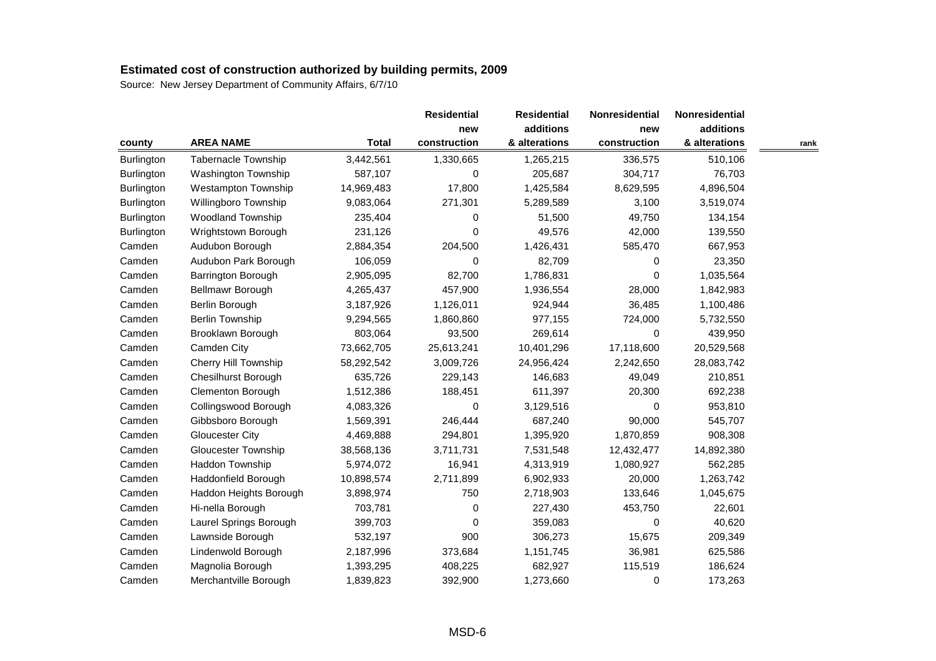|            |                            |              | <b>Residential</b> | <b>Residential</b> | <b>Nonresidential</b> | Nonresidential |      |
|------------|----------------------------|--------------|--------------------|--------------------|-----------------------|----------------|------|
|            |                            |              | new                | additions          | new                   | additions      |      |
| county     | <b>AREA NAME</b>           | <b>Total</b> | construction       | & alterations      | construction          | & alterations  | rank |
| Burlington | <b>Tabernacle Township</b> | 3,442,561    | 1,330,665          | 1,265,215          | 336,575               | 510,106        |      |
| Burlington | Washington Township        | 587,107      | 0                  | 205,687            | 304,717               | 76,703         |      |
| Burlington | <b>Westampton Township</b> | 14,969,483   | 17,800             | 1,425,584          | 8,629,595             | 4,896,504      |      |
| Burlington | Willingboro Township       | 9,083,064    | 271,301            | 5,289,589          | 3,100                 | 3,519,074      |      |
| Burlington | <b>Woodland Township</b>   | 235,404      | 0                  | 51,500             | 49,750                | 134,154        |      |
| Burlington | Wrightstown Borough        | 231,126      | 0                  | 49,576             | 42,000                | 139,550        |      |
| Camden     | Audubon Borough            | 2,884,354    | 204,500            | 1,426,431          | 585,470               | 667,953        |      |
| Camden     | Audubon Park Borough       | 106,059      | 0                  | 82,709             | 0                     | 23,350         |      |
| Camden     | Barrington Borough         | 2,905,095    | 82,700             | 1,786,831          | 0                     | 1,035,564      |      |
| Camden     | Bellmawr Borough           | 4,265,437    | 457,900            | 1,936,554          | 28,000                | 1,842,983      |      |
| Camden     | Berlin Borough             | 3,187,926    | 1,126,011          | 924,944            | 36,485                | 1,100,486      |      |
| Camden     | <b>Berlin Township</b>     | 9,294,565    | 1,860,860          | 977,155            | 724,000               | 5,732,550      |      |
| Camden     | Brooklawn Borough          | 803,064      | 93,500             | 269,614            | 0                     | 439,950        |      |
| Camden     | Camden City                | 73,662,705   | 25,613,241         | 10,401,296         | 17,118,600            | 20,529,568     |      |
| Camden     | Cherry Hill Township       | 58,292,542   | 3,009,726          | 24,956,424         | 2,242,650             | 28,083,742     |      |
| Camden     | <b>Chesilhurst Borough</b> | 635,726      | 229,143            | 146,683            | 49,049                | 210,851        |      |
| Camden     | Clementon Borough          | 1,512,386    | 188,451            | 611,397            | 20,300                | 692,238        |      |
| Camden     | Collingswood Borough       | 4,083,326    | 0                  | 3,129,516          | 0                     | 953,810        |      |
| Camden     | Gibbsboro Borough          | 1,569,391    | 246,444            | 687,240            | 90,000                | 545,707        |      |
| Camden     | Gloucester City            | 4,469,888    | 294,801            | 1,395,920          | 1,870,859             | 908,308        |      |
| Camden     | <b>Gloucester Township</b> | 38,568,136   | 3,711,731          | 7,531,548          | 12,432,477            | 14,892,380     |      |
| Camden     | Haddon Township            | 5,974,072    | 16,941             | 4,313,919          | 1,080,927             | 562,285        |      |
| Camden     | Haddonfield Borough        | 10,898,574   | 2,711,899          | 6,902,933          | 20,000                | 1,263,742      |      |
| Camden     | Haddon Heights Borough     | 3,898,974    | 750                | 2,718,903          | 133,646               | 1,045,675      |      |
| Camden     | Hi-nella Borough           | 703,781      | 0                  | 227,430            | 453,750               | 22,601         |      |
| Camden     | Laurel Springs Borough     | 399,703      | 0                  | 359,083            | 0                     | 40,620         |      |
| Camden     | Lawnside Borough           | 532,197      | 900                | 306,273            | 15,675                | 209,349        |      |
| Camden     | Lindenwold Borough         | 2,187,996    | 373,684            | 1,151,745          | 36,981                | 625,586        |      |
| Camden     | Magnolia Borough           | 1,393,295    | 408,225            | 682,927            | 115,519               | 186,624        |      |
| Camden     | Merchantville Borough      | 1,839,823    | 392,900            | 1,273,660          | 0                     | 173,263        |      |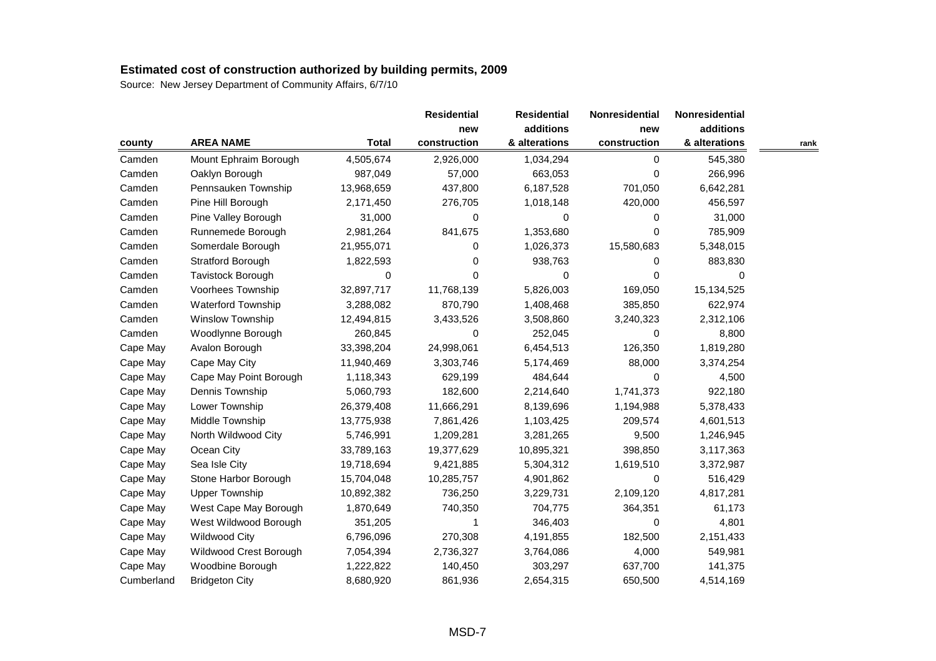|            |                        |              | <b>Residential</b> | <b>Residential</b> | Nonresidential | Nonresidential |      |
|------------|------------------------|--------------|--------------------|--------------------|----------------|----------------|------|
|            |                        |              | new                | additions          | new            | additions      |      |
| county     | <b>AREA NAME</b>       | <b>Total</b> | construction       | & alterations      | construction   | & alterations  | rank |
| Camden     | Mount Ephraim Borough  | 4,505,674    | 2,926,000          | 1,034,294          | 0              | 545,380        |      |
| Camden     | Oaklyn Borough         | 987,049      | 57,000             | 663,053            | 0              | 266,996        |      |
| Camden     | Pennsauken Township    | 13,968,659   | 437,800            | 6,187,528          | 701,050        | 6,642,281      |      |
| Camden     | Pine Hill Borough      | 2,171,450    | 276,705            | 1,018,148          | 420,000        | 456,597        |      |
| Camden     | Pine Valley Borough    | 31,000       | 0                  | $\Omega$           | 0              | 31,000         |      |
| Camden     | Runnemede Borough      | 2,981,264    | 841,675            | 1,353,680          | 0              | 785,909        |      |
| Camden     | Somerdale Borough      | 21,955,071   | 0                  | 1,026,373          | 15,580,683     | 5,348,015      |      |
| Camden     | Stratford Borough      | 1,822,593    | 0                  | 938,763            | 0              | 883,830        |      |
| Camden     | Tavistock Borough      | 0            | 0                  | 0                  | 0              | 0              |      |
| Camden     | Voorhees Township      | 32,897,717   | 11,768,139         | 5,826,003          | 169,050        | 15,134,525     |      |
| Camden     | Waterford Township     | 3,288,082    | 870,790            | 1,408,468          | 385,850        | 622,974        |      |
| Camden     | Winslow Township       | 12,494,815   | 3,433,526          | 3,508,860          | 3,240,323      | 2,312,106      |      |
| Camden     | Woodlynne Borough      | 260,845      | 0                  | 252,045            | 0              | 8,800          |      |
| Cape May   | Avalon Borough         | 33,398,204   | 24,998,061         | 6,454,513          | 126,350        | 1,819,280      |      |
| Cape May   | Cape May City          | 11,940,469   | 3,303,746          | 5,174,469          | 88,000         | 3,374,254      |      |
| Cape May   | Cape May Point Borough | 1,118,343    | 629,199            | 484,644            | 0              | 4,500          |      |
| Cape May   | Dennis Township        | 5,060,793    | 182,600            | 2,214,640          | 1,741,373      | 922,180        |      |
| Cape May   | Lower Township         | 26,379,408   | 11,666,291         | 8,139,696          | 1,194,988      | 5,378,433      |      |
| Cape May   | Middle Township        | 13,775,938   | 7,861,426          | 1,103,425          | 209,574        | 4,601,513      |      |
| Cape May   | North Wildwood City    | 5,746,991    | 1,209,281          | 3,281,265          | 9,500          | 1,246,945      |      |
| Cape May   | Ocean City             | 33,789,163   | 19,377,629         | 10,895,321         | 398,850        | 3,117,363      |      |
| Cape May   | Sea Isle City          | 19,718,694   | 9,421,885          | 5,304,312          | 1,619,510      | 3,372,987      |      |
| Cape May   | Stone Harbor Borough   | 15,704,048   | 10,285,757         | 4,901,862          | 0              | 516,429        |      |
| Cape May   | <b>Upper Township</b>  | 10,892,382   | 736,250            | 3,229,731          | 2,109,120      | 4,817,281      |      |
| Cape May   | West Cape May Borough  | 1,870,649    | 740,350            | 704,775            | 364,351        | 61,173         |      |
| Cape May   | West Wildwood Borough  | 351,205      | 1                  | 346,403            | 0              | 4,801          |      |
| Cape May   | <b>Wildwood City</b>   | 6,796,096    | 270,308            | 4,191,855          | 182,500        | 2,151,433      |      |
| Cape May   | Wildwood Crest Borough | 7,054,394    | 2,736,327          | 3,764,086          | 4,000          | 549,981        |      |
| Cape May   | Woodbine Borough       | 1,222,822    | 140,450            | 303,297            | 637,700        | 141,375        |      |
| Cumberland | <b>Bridgeton City</b>  | 8,680,920    | 861,936            | 2,654,315          | 650,500        | 4,514,169      |      |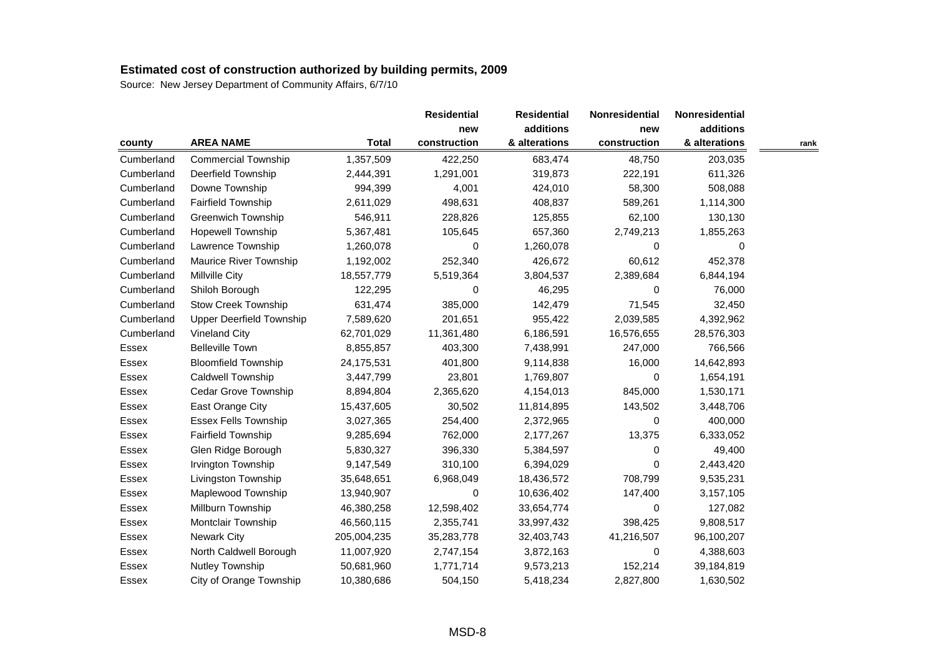|              |                            |              | <b>Residential</b> | <b>Residential</b> | Nonresidential | Nonresidential |      |
|--------------|----------------------------|--------------|--------------------|--------------------|----------------|----------------|------|
|              |                            |              | new                | additions          | new            | additions      |      |
| county       | <b>AREA NAME</b>           | <b>Total</b> | construction       | & alterations      | construction   | & alterations  | rank |
| Cumberland   | <b>Commercial Township</b> | 1,357,509    | 422,250            | 683,474            | 48,750         | 203,035        |      |
| Cumberland   | Deerfield Township         | 2,444,391    | 1,291,001          | 319,873            | 222,191        | 611,326        |      |
| Cumberland   | Downe Township             | 994,399      | 4,001              | 424,010            | 58,300         | 508,088        |      |
| Cumberland   | <b>Fairfield Township</b>  | 2,611,029    | 498,631            | 408,837            | 589,261        | 1,114,300      |      |
| Cumberland   | <b>Greenwich Township</b>  | 546,911      | 228,826            | 125,855            | 62,100         | 130,130        |      |
| Cumberland   | Hopewell Township          | 5,367,481    | 105,645            | 657,360            | 2,749,213      | 1,855,263      |      |
| Cumberland   | Lawrence Township          | 1,260,078    | 0                  | 1,260,078          | 0              | 0              |      |
| Cumberland   | Maurice River Township     | 1,192,002    | 252,340            | 426,672            | 60,612         | 452,378        |      |
| Cumberland   | Millville City             | 18,557,779   | 5,519,364          | 3,804,537          | 2,389,684      | 6,844,194      |      |
| Cumberland   | Shiloh Borough             | 122,295      | 0                  | 46,295             | 0              | 76,000         |      |
| Cumberland   | <b>Stow Creek Township</b> | 631,474      | 385,000            | 142,479            | 71,545         | 32,450         |      |
| Cumberland   | Upper Deerfield Township   | 7,589,620    | 201,651            | 955,422            | 2,039,585      | 4,392,962      |      |
| Cumberland   | <b>Vineland City</b>       | 62,701,029   | 11,361,480         | 6,186,591          | 16,576,655     | 28,576,303     |      |
| Essex        | <b>Belleville Town</b>     | 8,855,857    | 403,300            | 7,438,991          | 247,000        | 766,566        |      |
| Essex        | <b>Bloomfield Township</b> | 24,175,531   | 401,800            | 9,114,838          | 16,000         | 14,642,893     |      |
| Essex        | Caldwell Township          | 3,447,799    | 23,801             | 1,769,807          | 0              | 1,654,191      |      |
| Essex        | Cedar Grove Township       | 8,894,804    | 2,365,620          | 4,154,013          | 845,000        | 1,530,171      |      |
| Essex        | East Orange City           | 15,437,605   | 30,502             | 11,814,895         | 143,502        | 3,448,706      |      |
| Essex        | Essex Fells Township       | 3,027,365    | 254,400            | 2,372,965          | 0              | 400,000        |      |
| Essex        | <b>Fairfield Township</b>  | 9,285,694    | 762,000            | 2,177,267          | 13,375         | 6,333,052      |      |
| Essex        | Glen Ridge Borough         | 5,830,327    | 396,330            | 5,384,597          | 0              | 49,400         |      |
| Essex        | Irvington Township         | 9,147,549    | 310,100            | 6,394,029          | 0              | 2,443,420      |      |
| Essex        | Livingston Township        | 35,648,651   | 6,968,049          | 18,436,572         | 708,799        | 9,535,231      |      |
| Essex        | Maplewood Township         | 13,940,907   | 0                  | 10,636,402         | 147,400        | 3,157,105      |      |
| Essex        | Millburn Township          | 46,380,258   | 12,598,402         | 33,654,774         | 0              | 127,082        |      |
| Essex        | Montclair Township         | 46,560,115   | 2,355,741          | 33,997,432         | 398,425        | 9,808,517      |      |
| Essex        | <b>Newark City</b>         | 205,004,235  | 35,283,778         | 32,403,743         | 41,216,507     | 96,100,207     |      |
| Essex        | North Caldwell Borough     | 11,007,920   | 2,747,154          | 3,872,163          | 0              | 4,388,603      |      |
| <b>Essex</b> | Nutley Township            | 50,681,960   | 1,771,714          | 9,573,213          | 152,214        | 39,184,819     |      |
| Essex        | City of Orange Township    | 10,380,686   | 504,150            | 5,418,234          | 2,827,800      | 1,630,502      |      |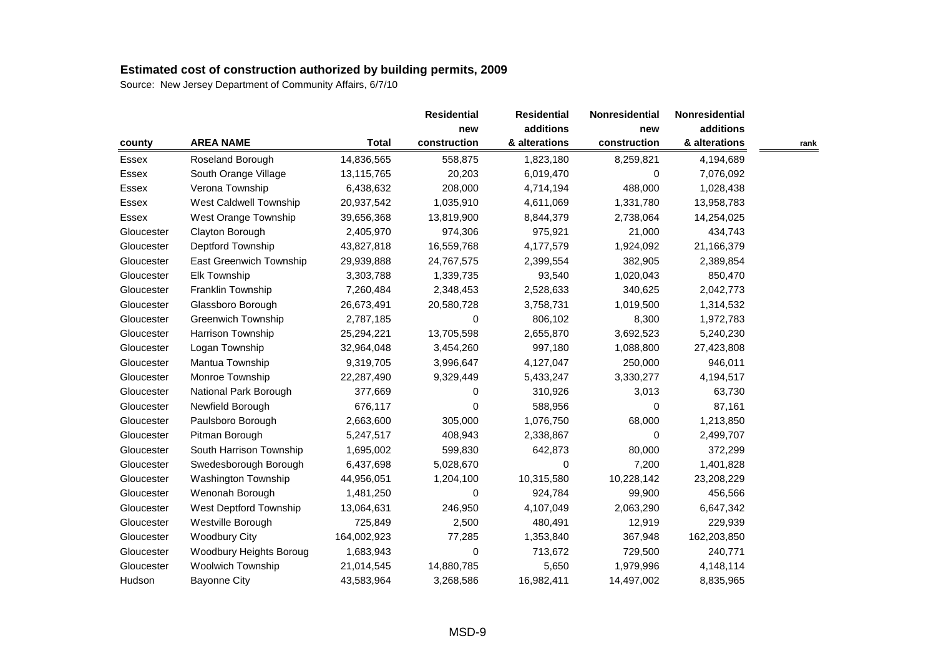|            |                           |              | <b>Residential</b> | <b>Residential</b> | <b>Nonresidential</b> | Nonresidential |      |
|------------|---------------------------|--------------|--------------------|--------------------|-----------------------|----------------|------|
|            |                           |              | new                | additions          | new                   | additions      |      |
| county     | <b>AREA NAME</b>          | <b>Total</b> | construction       | & alterations      | construction          | & alterations  | rank |
| Essex      | Roseland Borough          | 14,836,565   | 558,875            | 1,823,180          | 8,259,821             | 4,194,689      |      |
| Essex      | South Orange Village      | 13,115,765   | 20,203             | 6,019,470          | 0                     | 7,076,092      |      |
| Essex      | Verona Township           | 6,438,632    | 208,000            | 4,714,194          | 488,000               | 1,028,438      |      |
| Essex      | West Caldwell Township    | 20,937,542   | 1,035,910          | 4,611,069          | 1,331,780             | 13,958,783     |      |
| Essex      | West Orange Township      | 39,656,368   | 13,819,900         | 8,844,379          | 2,738,064             | 14,254,025     |      |
| Gloucester | Clayton Borough           | 2,405,970    | 974,306            | 975,921            | 21,000                | 434,743        |      |
| Gloucester | Deptford Township         | 43,827,818   | 16,559,768         | 4,177,579          | 1,924,092             | 21,166,379     |      |
| Gloucester | East Greenwich Township   | 29,939,888   | 24,767,575         | 2,399,554          | 382,905               | 2,389,854      |      |
| Gloucester | Elk Township              | 3,303,788    | 1,339,735          | 93,540             | 1,020,043             | 850,470        |      |
| Gloucester | Franklin Township         | 7,260,484    | 2,348,453          | 2,528,633          | 340,625               | 2,042,773      |      |
| Gloucester | Glassboro Borough         | 26,673,491   | 20,580,728         | 3,758,731          | 1,019,500             | 1,314,532      |      |
| Gloucester | <b>Greenwich Township</b> | 2,787,185    | 0                  | 806,102            | 8,300                 | 1,972,783      |      |
| Gloucester | Harrison Township         | 25,294,221   | 13,705,598         | 2,655,870          | 3,692,523             | 5,240,230      |      |
| Gloucester | Logan Township            | 32,964,048   | 3,454,260          | 997,180            | 1,088,800             | 27,423,808     |      |
| Gloucester | Mantua Township           | 9,319,705    | 3,996,647          | 4,127,047          | 250,000               | 946,011        |      |
| Gloucester | Monroe Township           | 22,287,490   | 9,329,449          | 5,433,247          | 3,330,277             | 4,194,517      |      |
| Gloucester | National Park Borough     | 377,669      | 0                  | 310,926            | 3,013                 | 63,730         |      |
| Gloucester | Newfield Borough          | 676,117      | $\Omega$           | 588,956            | 0                     | 87,161         |      |
| Gloucester | Paulsboro Borough         | 2,663,600    | 305,000            | 1,076,750          | 68,000                | 1,213,850      |      |
| Gloucester | Pitman Borough            | 5,247,517    | 408,943            | 2,338,867          | 0                     | 2,499,707      |      |
| Gloucester | South Harrison Township   | 1,695,002    | 599,830            | 642,873            | 80,000                | 372,299        |      |
| Gloucester | Swedesborough Borough     | 6,437,698    | 5,028,670          | 0                  | 7,200                 | 1,401,828      |      |
| Gloucester | Washington Township       | 44,956,051   | 1,204,100          | 10,315,580         | 10,228,142            | 23,208,229     |      |
| Gloucester | Wenonah Borough           | 1,481,250    | 0                  | 924,784            | 99,900                | 456,566        |      |
| Gloucester | West Deptford Township    | 13,064,631   | 246,950            | 4,107,049          | 2,063,290             | 6,647,342      |      |
| Gloucester | Westville Borough         | 725,849      | 2,500              | 480,491            | 12,919                | 229,939        |      |
| Gloucester | <b>Woodbury City</b>      | 164,002,923  | 77,285             | 1,353,840          | 367,948               | 162,203,850    |      |
| Gloucester | Woodbury Heights Boroug   | 1,683,943    | 0                  | 713,672            | 729,500               | 240,771        |      |
| Gloucester | <b>Woolwich Township</b>  | 21,014,545   | 14,880,785         | 5,650              | 1,979,996             | 4,148,114      |      |
| Hudson     | <b>Bayonne City</b>       | 43,583,964   | 3,268,586          | 16,982,411         | 14,497,002            | 8,835,965      |      |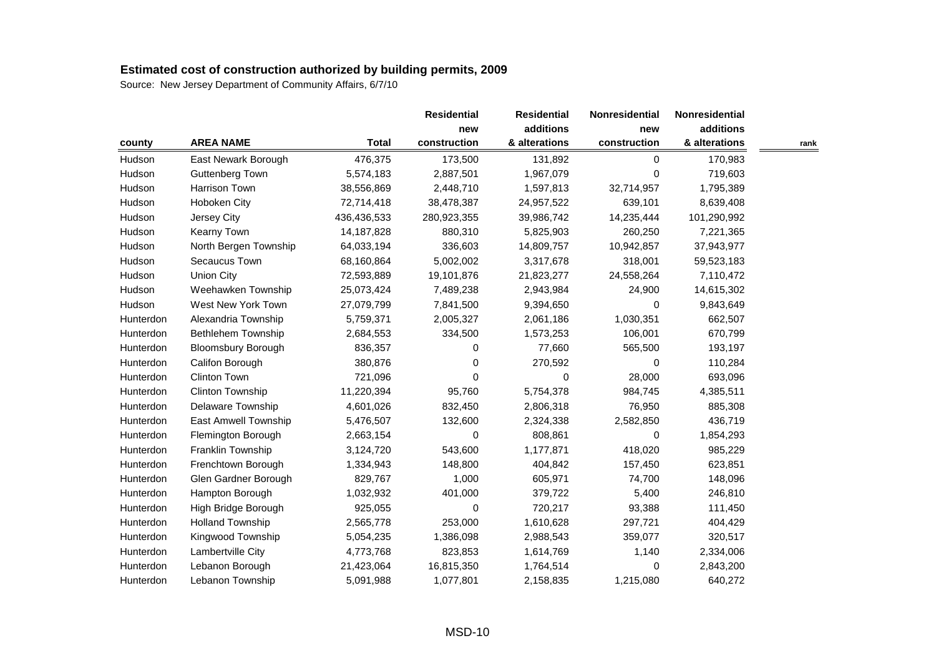|           |                           |              | <b>Residential</b>  | <b>Residential</b>         | Nonresidential | Nonresidential             |      |
|-----------|---------------------------|--------------|---------------------|----------------------------|----------------|----------------------------|------|
|           |                           |              | new<br>construction | additions<br>& alterations | new            | additions<br>& alterations |      |
| county    | <b>AREA NAME</b>          | <b>Total</b> |                     |                            | construction   |                            | rank |
| Hudson    | East Newark Borough       | 476,375      | 173,500             | 131,892                    | 0              | 170,983                    |      |
| Hudson    | Guttenberg Town           | 5,574,183    | 2,887,501           | 1,967,079                  | 0              | 719,603                    |      |
| Hudson    | Harrison Town             | 38,556,869   | 2,448,710           | 1,597,813                  | 32,714,957     | 1,795,389                  |      |
| Hudson    | Hoboken City              | 72,714,418   | 38,478,387          | 24,957,522                 | 639,101        | 8,639,408                  |      |
| Hudson    | Jersey City               | 436,436,533  | 280,923,355         | 39,986,742                 | 14,235,444     | 101,290,992                |      |
| Hudson    | Kearny Town               | 14, 187, 828 | 880,310             | 5,825,903                  | 260,250        | 7,221,365                  |      |
| Hudson    | North Bergen Township     | 64,033,194   | 336,603             | 14,809,757                 | 10,942,857     | 37,943,977                 |      |
| Hudson    | Secaucus Town             | 68,160,864   | 5,002,002           | 3,317,678                  | 318,001        | 59,523,183                 |      |
| Hudson    | <b>Union City</b>         | 72,593,889   | 19,101,876          | 21,823,277                 | 24,558,264     | 7,110,472                  |      |
| Hudson    | Weehawken Township        | 25,073,424   | 7,489,238           | 2,943,984                  | 24,900         | 14,615,302                 |      |
| Hudson    | West New York Town        | 27,079,799   | 7,841,500           | 9,394,650                  | $\Omega$       | 9,843,649                  |      |
| Hunterdon | Alexandria Township       | 5,759,371    | 2,005,327           | 2,061,186                  | 1,030,351      | 662,507                    |      |
| Hunterdon | Bethlehem Township        | 2,684,553    | 334,500             | 1,573,253                  | 106,001        | 670,799                    |      |
| Hunterdon | <b>Bloomsbury Borough</b> | 836,357      | 0                   | 77,660                     | 565,500        | 193,197                    |      |
| Hunterdon | Califon Borough           | 380,876      | 0                   | 270,592                    | 0              | 110,284                    |      |
| Hunterdon | Clinton Town              | 721,096      | 0                   | 0                          | 28,000         | 693,096                    |      |
| Hunterdon | Clinton Township          | 11,220,394   | 95,760              | 5,754,378                  | 984,745        | 4,385,511                  |      |
| Hunterdon | Delaware Township         | 4,601,026    | 832,450             | 2,806,318                  | 76,950         | 885,308                    |      |
| Hunterdon | East Amwell Township      | 5,476,507    | 132,600             | 2,324,338                  | 2,582,850      | 436,719                    |      |
| Hunterdon | Flemington Borough        | 2,663,154    | $\Omega$            | 808,861                    | 0              | 1,854,293                  |      |
| Hunterdon | Franklin Township         | 3,124,720    | 543,600             | 1,177,871                  | 418,020        | 985,229                    |      |
| Hunterdon | Frenchtown Borough        | 1,334,943    | 148,800             | 404,842                    | 157,450        | 623,851                    |      |
| Hunterdon | Glen Gardner Borough      | 829,767      | 1,000               | 605,971                    | 74,700         | 148,096                    |      |
| Hunterdon | Hampton Borough           | 1,032,932    | 401,000             | 379,722                    | 5,400          | 246,810                    |      |
| Hunterdon | High Bridge Borough       | 925,055      | 0                   | 720,217                    | 93,388         | 111,450                    |      |
| Hunterdon | <b>Holland Township</b>   | 2,565,778    | 253,000             | 1,610,628                  | 297,721        | 404,429                    |      |
| Hunterdon | Kingwood Township         | 5,054,235    | 1,386,098           | 2,988,543                  | 359,077        | 320,517                    |      |
| Hunterdon | Lambertville City         | 4,773,768    | 823,853             | 1,614,769                  | 1,140          | 2,334,006                  |      |
| Hunterdon | Lebanon Borough           | 21,423,064   | 16,815,350          | 1,764,514                  | 0              | 2,843,200                  |      |
| Hunterdon | Lebanon Township          | 5,091,988    | 1,077,801           | 2,158,835                  | 1,215,080      | 640,272                    |      |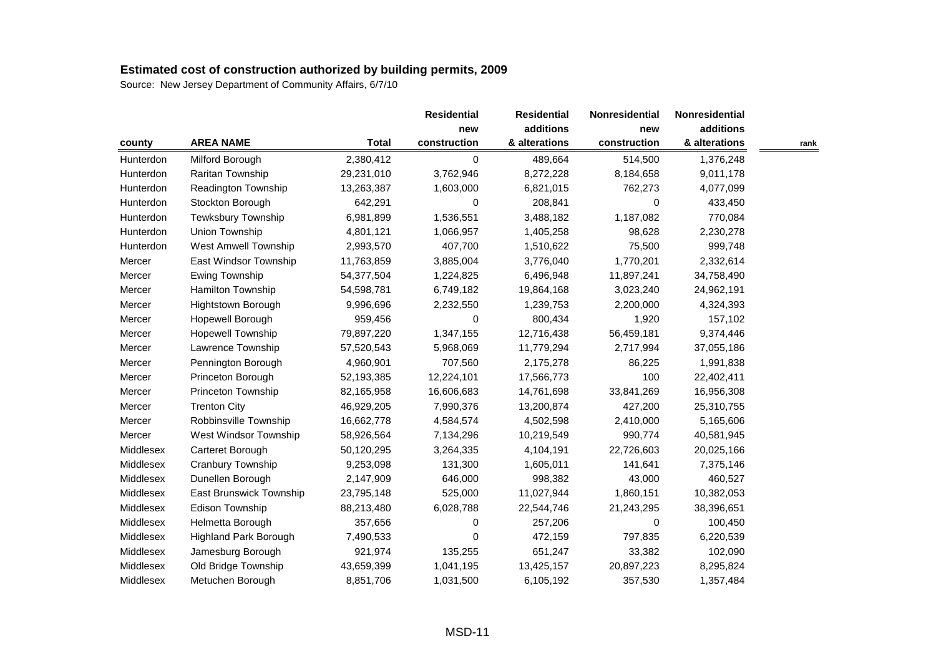|           |                              |              | <b>Residential</b> | <b>Residential</b> | Nonresidential | Nonresidential |      |
|-----------|------------------------------|--------------|--------------------|--------------------|----------------|----------------|------|
|           |                              |              | new                | additions          | new            | additions      |      |
| county    | <b>AREA NAME</b>             | <b>Total</b> | construction       | & alterations      | construction   | & alterations  | rank |
| Hunterdon | Milford Borough              | 2,380,412    | 0                  | 489,664            | 514,500        | 1,376,248      |      |
| Hunterdon | Raritan Township             | 29,231,010   | 3,762,946          | 8,272,228          | 8,184,658      | 9,011,178      |      |
| Hunterdon | Readington Township          | 13,263,387   | 1,603,000          | 6,821,015          | 762,273        | 4,077,099      |      |
| Hunterdon | Stockton Borough             | 642,291      | 0                  | 208,841            | $\Omega$       | 433,450        |      |
| Hunterdon | Tewksbury Township           | 6,981,899    | 1,536,551          | 3,488,182          | 1,187,082      | 770,084        |      |
| Hunterdon | Union Township               | 4,801,121    | 1,066,957          | 1,405,258          | 98,628         | 2,230,278      |      |
| Hunterdon | <b>West Amwell Township</b>  | 2,993,570    | 407,700            | 1,510,622          | 75,500         | 999,748        |      |
| Mercer    | East Windsor Township        | 11,763,859   | 3,885,004          | 3,776,040          | 1,770,201      | 2,332,614      |      |
| Mercer    | Ewing Township               | 54,377,504   | 1,224,825          | 6,496,948          | 11,897,241     | 34,758,490     |      |
| Mercer    | Hamilton Township            | 54,598,781   | 6,749,182          | 19,864,168         | 3,023,240      | 24,962,191     |      |
| Mercer    | Hightstown Borough           | 9,996,696    | 2,232,550          | 1,239,753          | 2,200,000      | 4,324,393      |      |
| Mercer    | Hopewell Borough             | 959,456      | 0                  | 800,434            | 1,920          | 157,102        |      |
| Mercer    | <b>Hopewell Township</b>     | 79,897,220   | 1,347,155          | 12,716,438         | 56,459,181     | 9,374,446      |      |
| Mercer    | Lawrence Township            | 57,520,543   | 5,968,069          | 11,779,294         | 2,717,994      | 37,055,186     |      |
| Mercer    | Pennington Borough           | 4,960,901    | 707,560            | 2,175,278          | 86,225         | 1,991,838      |      |
| Mercer    | Princeton Borough            | 52,193,385   | 12,224,101         | 17,566,773         | 100            | 22,402,411     |      |
| Mercer    | Princeton Township           | 82,165,958   | 16,606,683         | 14,761,698         | 33,841,269     | 16,956,308     |      |
| Mercer    | <b>Trenton City</b>          | 46,929,205   | 7,990,376          | 13,200,874         | 427,200        | 25,310,755     |      |
| Mercer    | Robbinsville Township        | 16,662,778   | 4,584,574          | 4,502,598          | 2,410,000      | 5,165,606      |      |
| Mercer    | West Windsor Township        | 58,926,564   | 7,134,296          | 10,219,549         | 990,774        | 40,581,945     |      |
| Middlesex | Carteret Borough             | 50,120,295   | 3,264,335          | 4,104,191          | 22,726,603     | 20,025,166     |      |
| Middlesex | Cranbury Township            | 9,253,098    | 131,300            | 1,605,011          | 141,641        | 7,375,146      |      |
| Middlesex | Dunellen Borough             | 2,147,909    | 646,000            | 998,382            | 43,000         | 460,527        |      |
| Middlesex | East Brunswick Township      | 23,795,148   | 525,000            | 11,027,944         | 1,860,151      | 10,382,053     |      |
| Middlesex | Edison Township              | 88,213,480   | 6,028,788          | 22,544,746         | 21,243,295     | 38,396,651     |      |
| Middlesex | Helmetta Borough             | 357,656      | 0                  | 257,206            | 0              | 100,450        |      |
| Middlesex | <b>Highland Park Borough</b> | 7,490,533    | 0                  | 472,159            | 797,835        | 6,220,539      |      |
| Middlesex | Jamesburg Borough            | 921,974      | 135,255            | 651,247            | 33,382         | 102,090        |      |
| Middlesex | Old Bridge Township          | 43,659,399   | 1,041,195          | 13,425,157         | 20,897,223     | 8,295,824      |      |
| Middlesex | Metuchen Borough             | 8,851,706    | 1,031,500          | 6,105,192          | 357,530        | 1,357,484      |      |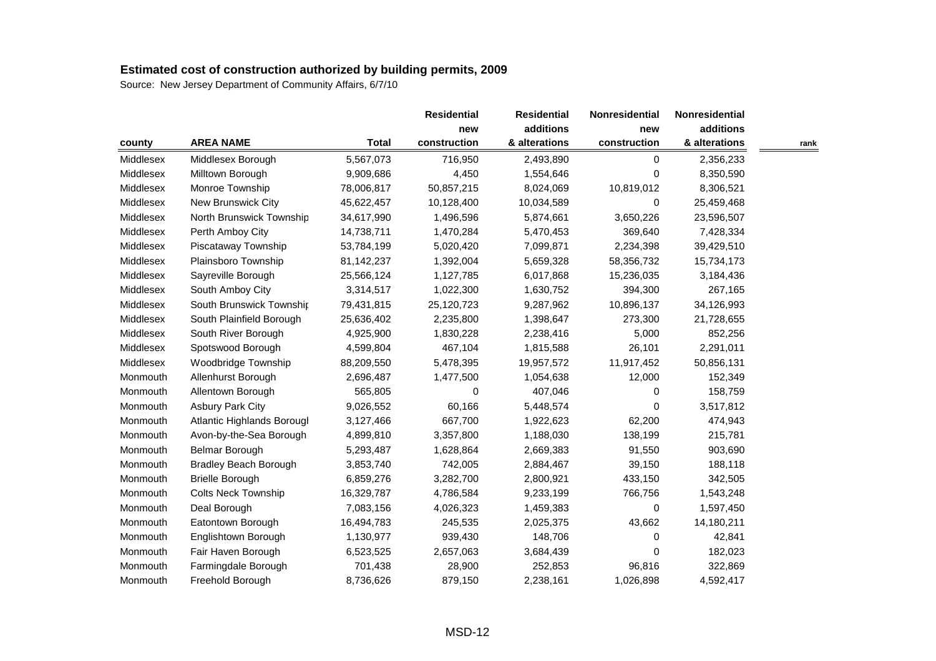|           |                              |              | <b>Residential</b> | <b>Residential</b> | Nonresidential | Nonresidential |      |
|-----------|------------------------------|--------------|--------------------|--------------------|----------------|----------------|------|
|           |                              |              | new                | additions          | new            | additions      |      |
| county    | <b>AREA NAME</b>             | <b>Total</b> | construction       | & alterations      | construction   | & alterations  | rank |
| Middlesex | Middlesex Borough            | 5,567,073    | 716,950            | 2,493,890          | 0              | 2,356,233      |      |
| Middlesex | Milltown Borough             | 9,909,686    | 4,450              | 1,554,646          | 0              | 8,350,590      |      |
| Middlesex | Monroe Township              | 78,006,817   | 50,857,215         | 8,024,069          | 10,819,012     | 8,306,521      |      |
| Middlesex | New Brunswick City           | 45,622,457   | 10,128,400         | 10,034,589         | 0              | 25,459,468     |      |
| Middlesex | North Brunswick Township     | 34,617,990   | 1,496,596          | 5,874,661          | 3,650,226      | 23,596,507     |      |
| Middlesex | Perth Amboy City             | 14,738,711   | 1,470,284          | 5,470,453          | 369,640        | 7,428,334      |      |
| Middlesex | Piscataway Township          | 53,784,199   | 5,020,420          | 7,099,871          | 2,234,398      | 39,429,510     |      |
| Middlesex | Plainsboro Township          | 81,142,237   | 1,392,004          | 5,659,328          | 58,356,732     | 15,734,173     |      |
| Middlesex | Sayreville Borough           | 25,566,124   | 1,127,785          | 6,017,868          | 15,236,035     | 3,184,436      |      |
| Middlesex | South Amboy City             | 3,314,517    | 1,022,300          | 1,630,752          | 394,300        | 267,165        |      |
| Middlesex | South Brunswick Township     | 79,431,815   | 25,120,723         | 9,287,962          | 10,896,137     | 34,126,993     |      |
| Middlesex | South Plainfield Borough     | 25,636,402   | 2,235,800          | 1,398,647          | 273,300        | 21,728,655     |      |
| Middlesex | South River Borough          | 4,925,900    | 1,830,228          | 2,238,416          | 5,000          | 852,256        |      |
| Middlesex | Spotswood Borough            | 4,599,804    | 467,104            | 1,815,588          | 26,101         | 2,291,011      |      |
| Middlesex | Woodbridge Township          | 88,209,550   | 5,478,395          | 19,957,572         | 11,917,452     | 50,856,131     |      |
| Monmouth  | Allenhurst Borough           | 2,696,487    | 1,477,500          | 1,054,638          | 12,000         | 152,349        |      |
| Monmouth  | Allentown Borough            | 565,805      | 0                  | 407,046            | 0              | 158,759        |      |
| Monmouth  | <b>Asbury Park City</b>      | 9,026,552    | 60,166             | 5,448,574          | 0              | 3,517,812      |      |
| Monmouth  | Atlantic Highlands Borougl   | 3,127,466    | 667,700            | 1,922,623          | 62,200         | 474,943        |      |
| Monmouth  | Avon-by-the-Sea Borough      | 4,899,810    | 3,357,800          | 1,188,030          | 138,199        | 215,781        |      |
| Monmouth  | Belmar Borough               | 5,293,487    | 1,628,864          | 2,669,383          | 91,550         | 903,690        |      |
| Monmouth  | <b>Bradley Beach Borough</b> | 3,853,740    | 742,005            | 2,884,467          | 39,150         | 188,118        |      |
| Monmouth  | <b>Brielle Borough</b>       | 6,859,276    | 3,282,700          | 2,800,921          | 433,150        | 342,505        |      |
| Monmouth  | <b>Colts Neck Township</b>   | 16,329,787   | 4,786,584          | 9,233,199          | 766,756        | 1,543,248      |      |
| Monmouth  | Deal Borough                 | 7,083,156    | 4,026,323          | 1,459,383          | 0              | 1,597,450      |      |
| Monmouth  | Eatontown Borough            | 16,494,783   | 245,535            | 2,025,375          | 43,662         | 14,180,211     |      |
| Monmouth  | Englishtown Borough          | 1,130,977    | 939,430            | 148,706            | 0              | 42,841         |      |
| Monmouth  | Fair Haven Borough           | 6,523,525    | 2,657,063          | 3,684,439          | 0              | 182,023        |      |
| Monmouth  | Farmingdale Borough          | 701,438      | 28,900             | 252,853            | 96,816         | 322,869        |      |
| Monmouth  | Freehold Borough             | 8,736,626    | 879,150            | 2,238,161          | 1,026,898      | 4,592,417      |      |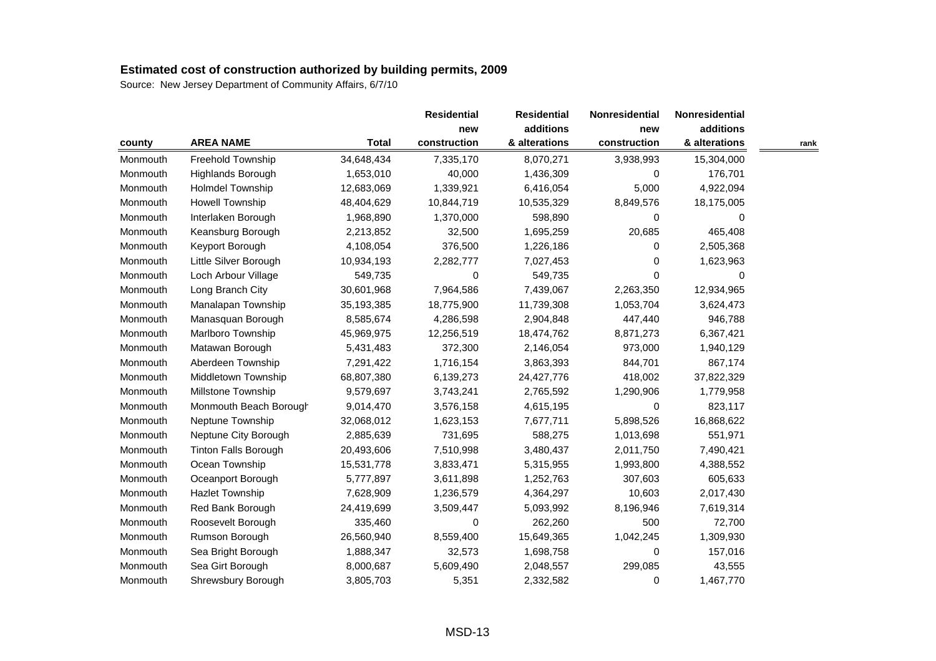| county   |                             |              | <b>Residential</b><br>new | <b>Residential</b><br>additions | Nonresidential<br>new | Nonresidential<br>additions |      |
|----------|-----------------------------|--------------|---------------------------|---------------------------------|-----------------------|-----------------------------|------|
|          |                             |              |                           |                                 |                       |                             |      |
|          | <b>AREA NAME</b>            | <b>Total</b> | construction              | & alterations                   | construction          | & alterations               | rank |
| Monmouth | Freehold Township           | 34,648,434   | 7,335,170                 | 8,070,271                       | 3,938,993             | 15,304,000                  |      |
| Monmouth | Highlands Borough           | 1,653,010    | 40,000                    | 1,436,309                       | 0                     | 176,701                     |      |
| Monmouth | <b>Holmdel Township</b>     | 12,683,069   | 1,339,921                 | 6,416,054                       | 5,000                 | 4,922,094                   |      |
| Monmouth | <b>Howell Township</b>      | 48,404,629   | 10,844,719                | 10,535,329                      | 8,849,576             | 18,175,005                  |      |
| Monmouth | Interlaken Borough          | 1,968,890    | 1,370,000                 | 598,890                         | 0                     | 0                           |      |
| Monmouth | Keansburg Borough           | 2,213,852    | 32,500                    | 1,695,259                       | 20,685                | 465,408                     |      |
| Monmouth | Keyport Borough             | 4,108,054    | 376,500                   | 1,226,186                       | $\Omega$              | 2,505,368                   |      |
| Monmouth | Little Silver Borough       | 10,934,193   | 2,282,777                 | 7,027,453                       | 0                     | 1,623,963                   |      |
| Monmouth | Loch Arbour Village         | 549,735      | 0                         | 549,735                         | $\Omega$              | 0                           |      |
| Monmouth | Long Branch City            | 30,601,968   | 7,964,586                 | 7,439,067                       | 2,263,350             | 12,934,965                  |      |
| Monmouth | Manalapan Township          | 35,193,385   | 18,775,900                | 11,739,308                      | 1,053,704             | 3,624,473                   |      |
| Monmouth | Manasquan Borough           | 8,585,674    | 4,286,598                 | 2,904,848                       | 447,440               | 946,788                     |      |
| Monmouth | Marlboro Township           | 45,969,975   | 12,256,519                | 18,474,762                      | 8,871,273             | 6,367,421                   |      |
| Monmouth | Matawan Borough             | 5,431,483    | 372,300                   | 2,146,054                       | 973,000               | 1,940,129                   |      |
| Monmouth | Aberdeen Township           | 7,291,422    | 1,716,154                 | 3,863,393                       | 844,701               | 867,174                     |      |
| Monmouth | Middletown Township         | 68,807,380   | 6,139,273                 | 24,427,776                      | 418,002               | 37,822,329                  |      |
| Monmouth | Millstone Township          | 9,579,697    | 3,743,241                 | 2,765,592                       | 1,290,906             | 1,779,958                   |      |
| Monmouth | Monmouth Beach Borough      | 9,014,470    | 3,576,158                 | 4,615,195                       | $\Omega$              | 823,117                     |      |
| Monmouth | Neptune Township            | 32,068,012   | 1,623,153                 | 7,677,711                       | 5,898,526             | 16,868,622                  |      |
| Monmouth | Neptune City Borough        | 2,885,639    | 731,695                   | 588,275                         | 1,013,698             | 551,971                     |      |
| Monmouth | <b>Tinton Falls Borough</b> | 20,493,606   | 7,510,998                 | 3,480,437                       | 2,011,750             | 7,490,421                   |      |
| Monmouth | Ocean Township              | 15,531,778   | 3,833,471                 | 5,315,955                       | 1,993,800             | 4,388,552                   |      |
| Monmouth | Oceanport Borough           | 5,777,897    | 3,611,898                 | 1,252,763                       | 307,603               | 605,633                     |      |
| Monmouth | <b>Hazlet Township</b>      | 7,628,909    | 1,236,579                 | 4,364,297                       | 10,603                | 2,017,430                   |      |
| Monmouth | Red Bank Borough            | 24,419,699   | 3,509,447                 | 5,093,992                       | 8,196,946             | 7,619,314                   |      |
| Monmouth | Roosevelt Borough           | 335,460      | 0                         | 262,260                         | 500                   | 72,700                      |      |
| Monmouth | Rumson Borough              | 26,560,940   | 8,559,400                 | 15,649,365                      | 1,042,245             | 1,309,930                   |      |
| Monmouth | Sea Bright Borough          | 1,888,347    | 32,573                    | 1,698,758                       | 0                     | 157,016                     |      |
| Monmouth | Sea Girt Borough            | 8,000,687    | 5,609,490                 | 2,048,557                       | 299,085               | 43,555                      |      |
| Monmouth | Shrewsbury Borough          | 3,805,703    | 5,351                     | 2,332,582                       | 0                     | 1,467,770                   |      |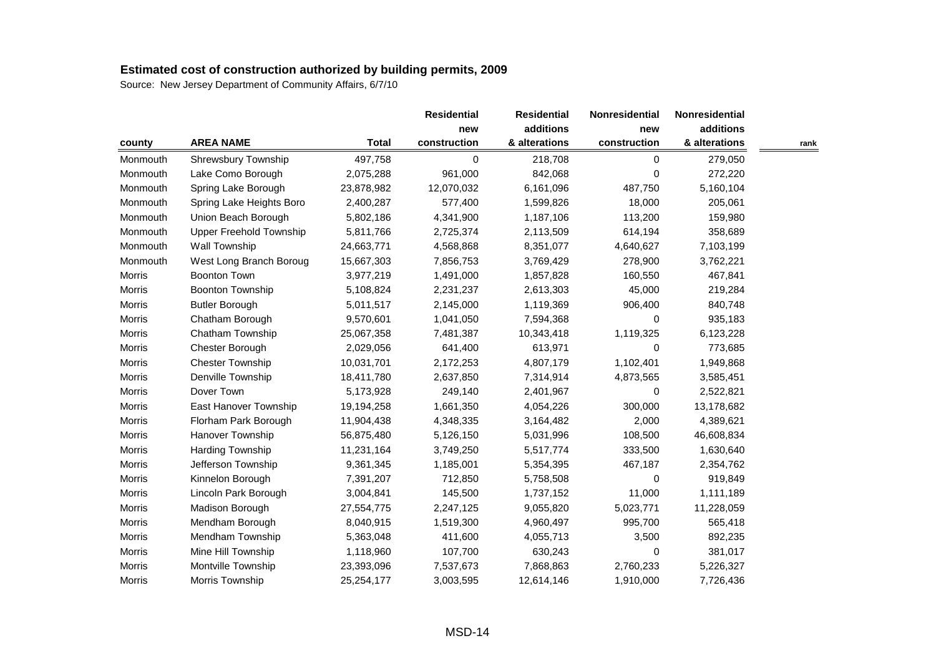| county        |                          |              | <b>Residential</b><br>new | <b>Residential</b><br>additions | Nonresidential | Nonresidential |      |
|---------------|--------------------------|--------------|---------------------------|---------------------------------|----------------|----------------|------|
|               |                          |              |                           |                                 | new            | additions      |      |
|               | <b>AREA NAME</b>         | <b>Total</b> | construction              | & alterations                   | construction   | & alterations  | rank |
| Monmouth      | Shrewsbury Township      | 497,758      | 0                         | 218,708                         | 0              | 279,050        |      |
| Monmouth      | Lake Como Borough        | 2,075,288    | 961,000                   | 842,068                         | 0              | 272,220        |      |
| Monmouth      | Spring Lake Borough      | 23,878,982   | 12,070,032                | 6,161,096                       | 487,750        | 5,160,104      |      |
| Monmouth      | Spring Lake Heights Boro | 2,400,287    | 577,400                   | 1,599,826                       | 18,000         | 205,061        |      |
| Monmouth      | Union Beach Borough      | 5,802,186    | 4,341,900                 | 1,187,106                       | 113,200        | 159,980        |      |
| Monmouth      | Upper Freehold Township  | 5,811,766    | 2,725,374                 | 2,113,509                       | 614,194        | 358,689        |      |
| Monmouth      | Wall Township            | 24,663,771   | 4,568,868                 | 8,351,077                       | 4,640,627      | 7,103,199      |      |
| Monmouth      | West Long Branch Boroug  | 15,667,303   | 7,856,753                 | 3,769,429                       | 278,900        | 3,762,221      |      |
| Morris        | <b>Boonton Town</b>      | 3,977,219    | 1,491,000                 | 1,857,828                       | 160,550        | 467,841        |      |
| <b>Morris</b> | Boonton Township         | 5,108,824    | 2,231,237                 | 2,613,303                       | 45,000         | 219,284        |      |
| Morris        | <b>Butler Borough</b>    | 5,011,517    | 2,145,000                 | 1,119,369                       | 906,400        | 840,748        |      |
| Morris        | Chatham Borough          | 9,570,601    | 1,041,050                 | 7,594,368                       | $\mathbf 0$    | 935,183        |      |
| Morris        | Chatham Township         | 25,067,358   | 7,481,387                 | 10,343,418                      | 1,119,325      | 6,123,228      |      |
| Morris        | Chester Borough          | 2,029,056    | 641,400                   | 613,971                         | 0              | 773,685        |      |
| Morris        | <b>Chester Township</b>  | 10,031,701   | 2,172,253                 | 4,807,179                       | 1,102,401      | 1,949,868      |      |
| Morris        | Denville Township        | 18,411,780   | 2,637,850                 | 7,314,914                       | 4,873,565      | 3,585,451      |      |
| Morris        | Dover Town               | 5,173,928    | 249,140                   | 2,401,967                       | 0              | 2,522,821      |      |
| Morris        | East Hanover Township    | 19,194,258   | 1,661,350                 | 4,054,226                       | 300,000        | 13,178,682     |      |
| Morris        | Florham Park Borough     | 11,904,438   | 4,348,335                 | 3,164,482                       | 2,000          | 4,389,621      |      |
| Morris        | Hanover Township         | 56,875,480   | 5,126,150                 | 5,031,996                       | 108,500        | 46,608,834     |      |
| Morris        | Harding Township         | 11,231,164   | 3,749,250                 | 5,517,774                       | 333,500        | 1,630,640      |      |
| Morris        | Jefferson Township       | 9,361,345    | 1,185,001                 | 5,354,395                       | 467,187        | 2,354,762      |      |
| Morris        | Kinnelon Borough         | 7,391,207    | 712,850                   | 5,758,508                       | 0              | 919,849        |      |
| Morris        | Lincoln Park Borough     | 3,004,841    | 145,500                   | 1,737,152                       | 11,000         | 1,111,189      |      |
| Morris        | Madison Borough          | 27,554,775   | 2,247,125                 | 9,055,820                       | 5,023,771      | 11,228,059     |      |
| Morris        | Mendham Borough          | 8,040,915    | 1,519,300                 | 4,960,497                       | 995,700        | 565,418        |      |
| Morris        | Mendham Township         | 5,363,048    | 411,600                   | 4,055,713                       | 3,500          | 892,235        |      |
| Morris        | Mine Hill Township       | 1,118,960    | 107,700                   | 630,243                         | 0              | 381,017        |      |
| Morris        | Montville Township       | 23,393,096   | 7,537,673                 | 7,868,863                       | 2,760,233      | 5,226,327      |      |
| Morris        | Morris Township          | 25,254,177   | 3,003,595                 | 12,614,146                      | 1,910,000      | 7,726,436      |      |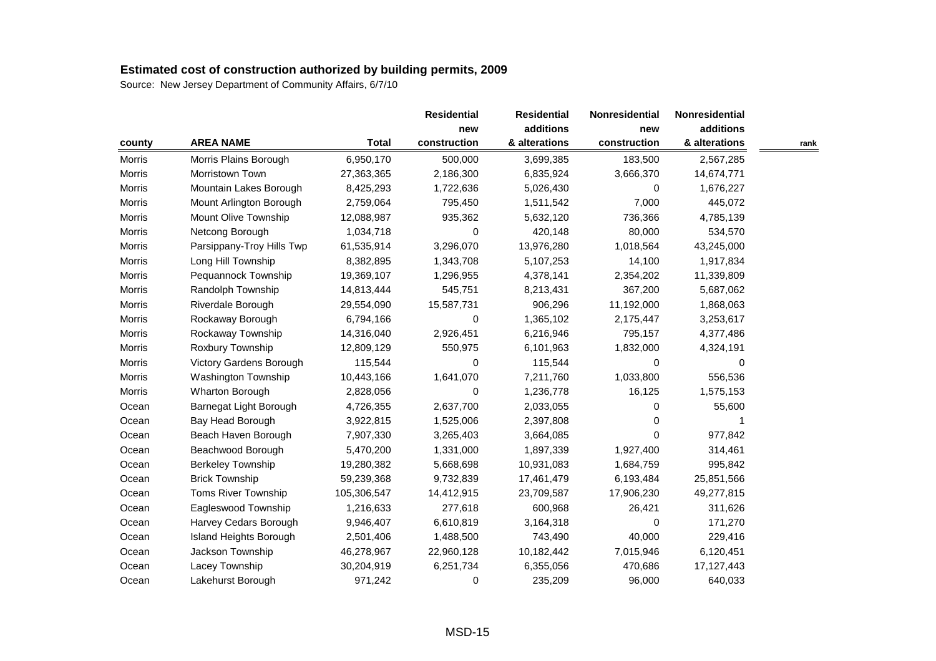| county        |                           |              |              | <b>Residential</b> | Nonresidential | Nonresidential |      |
|---------------|---------------------------|--------------|--------------|--------------------|----------------|----------------|------|
|               |                           |              | new          | additions          | new            | additions      |      |
|               | <b>AREA NAME</b>          | <b>Total</b> | construction | & alterations      | construction   | & alterations  | rank |
| Morris        | Morris Plains Borough     | 6,950,170    | 500,000      | 3,699,385          | 183,500        | 2,567,285      |      |
| Morris        | Morristown Town           | 27,363,365   | 2,186,300    | 6,835,924          | 3,666,370      | 14,674,771     |      |
| Morris        | Mountain Lakes Borough    | 8,425,293    | 1,722,636    | 5,026,430          | 0              | 1,676,227      |      |
| <b>Morris</b> | Mount Arlington Borough   | 2,759,064    | 795,450      | 1,511,542          | 7,000          | 445,072        |      |
| Morris        | Mount Olive Township      | 12,088,987   | 935,362      | 5,632,120          | 736,366        | 4,785,139      |      |
| Morris        | Netcong Borough           | 1,034,718    | 0            | 420,148            | 80,000         | 534,570        |      |
| Morris        | Parsippany-Troy Hills Twp | 61,535,914   | 3,296,070    | 13,976,280         | 1,018,564      | 43,245,000     |      |
| Morris        | Long Hill Township        | 8,382,895    | 1,343,708    | 5,107,253          | 14,100         | 1,917,834      |      |
| Morris        | Pequannock Township       | 19,369,107   | 1,296,955    | 4,378,141          | 2,354,202      | 11,339,809     |      |
| Morris        | Randolph Township         | 14,813,444   | 545,751      | 8,213,431          | 367,200        | 5,687,062      |      |
| Morris        | Riverdale Borough         | 29,554,090   | 15,587,731   | 906,296            | 11,192,000     | 1,868,063      |      |
| Morris        | Rockaway Borough          | 6,794,166    | 0            | 1,365,102          | 2,175,447      | 3,253,617      |      |
| Morris        | Rockaway Township         | 14,316,040   | 2,926,451    | 6,216,946          | 795,157        | 4,377,486      |      |
| Morris        | Roxbury Township          | 12,809,129   | 550,975      | 6,101,963          | 1,832,000      | 4,324,191      |      |
| Morris        | Victory Gardens Borough   | 115,544      | 0            | 115,544            | 0              | 0              |      |
| Morris        | Washington Township       | 10,443,166   | 1,641,070    | 7,211,760          | 1,033,800      | 556,536        |      |
| Morris        | <b>Wharton Borough</b>    | 2,828,056    | 0            | 1,236,778          | 16,125         | 1,575,153      |      |
| Ocean         | Barnegat Light Borough    | 4,726,355    | 2,637,700    | 2,033,055          | 0              | 55,600         |      |
| Ocean         | Bay Head Borough          | 3,922,815    | 1,525,006    | 2,397,808          | 0              |                |      |
| Ocean         | Beach Haven Borough       | 7,907,330    | 3,265,403    | 3,664,085          | $\Omega$       | 977,842        |      |
| Ocean         | Beachwood Borough         | 5,470,200    | 1,331,000    | 1,897,339          | 1,927,400      | 314,461        |      |
| Ocean         | <b>Berkeley Township</b>  | 19,280,382   | 5,668,698    | 10,931,083         | 1,684,759      | 995,842        |      |
| Ocean         | <b>Brick Township</b>     | 59,239,368   | 9,732,839    | 17,461,479         | 6,193,484      | 25,851,566     |      |
| Ocean         | Toms River Township       | 105,306,547  | 14,412,915   | 23,709,587         | 17,906,230     | 49,277,815     |      |
| Ocean         | Eagleswood Township       | 1,216,633    | 277,618      | 600,968            | 26,421         | 311,626        |      |
| Ocean         | Harvey Cedars Borough     | 9,946,407    | 6,610,819    | 3,164,318          | 0              | 171,270        |      |
| Ocean         | Island Heights Borough    | 2,501,406    | 1,488,500    | 743,490            | 40,000         | 229,416        |      |
| Ocean         | Jackson Township          | 46,278,967   | 22,960,128   | 10,182,442         | 7,015,946      | 6,120,451      |      |
| Ocean         | Lacey Township            | 30,204,919   | 6,251,734    | 6,355,056          | 470,686        | 17, 127, 443   |      |
| Ocean         | Lakehurst Borough         | 971,242      | 0            | 235,209            | 96,000         | 640,033        |      |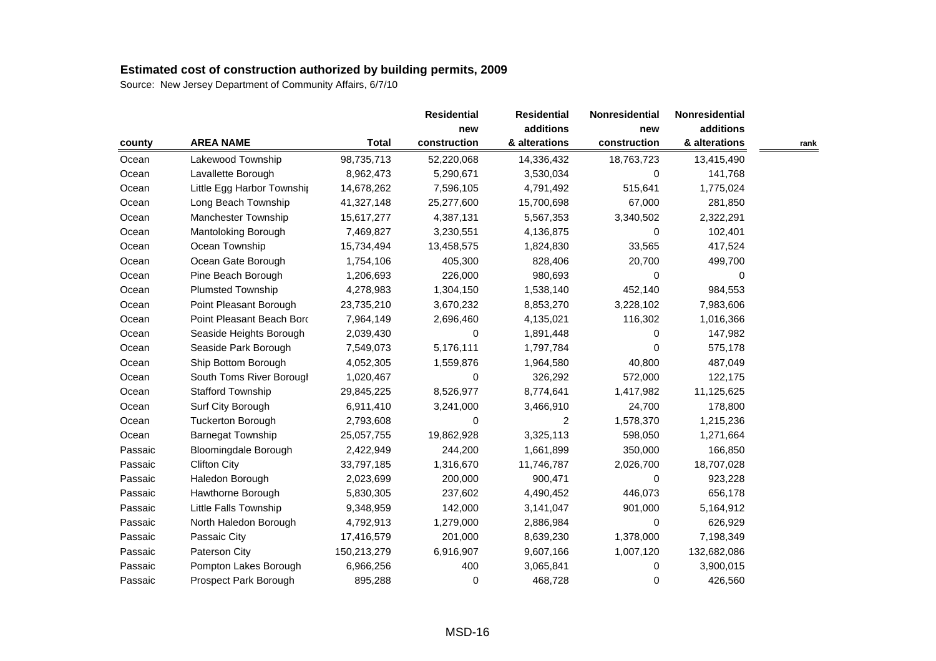| county  |                             |              | <b>Residential</b><br>new | <b>Residential</b><br>additions | Nonresidential<br>new | Nonresidential |      |
|---------|-----------------------------|--------------|---------------------------|---------------------------------|-----------------------|----------------|------|
|         |                             |              |                           |                                 |                       | additions      |      |
|         | <b>AREA NAME</b>            | <b>Total</b> | construction              | & alterations                   | construction          | & alterations  | rank |
| Ocean   | Lakewood Township           | 98,735,713   | 52,220,068                | 14,336,432                      | 18,763,723            | 13,415,490     |      |
| Ocean   | Lavallette Borough          | 8,962,473    | 5,290,671                 | 3,530,034                       | 0                     | 141,768        |      |
| Ocean   | Little Egg Harbor Townshir  | 14,678,262   | 7,596,105                 | 4,791,492                       | 515,641               | 1,775,024      |      |
| Ocean   | Long Beach Township         | 41,327,148   | 25,277,600                | 15,700,698                      | 67,000                | 281,850        |      |
| Ocean   | Manchester Township         | 15,617,277   | 4,387,131                 | 5,567,353                       | 3,340,502             | 2,322,291      |      |
| Ocean   | Mantoloking Borough         | 7,469,827    | 3,230,551                 | 4,136,875                       | 0                     | 102,401        |      |
| Ocean   | Ocean Township              | 15,734,494   | 13,458,575                | 1,824,830                       | 33,565                | 417,524        |      |
| Ocean   | Ocean Gate Borough          | 1,754,106    | 405,300                   | 828,406                         | 20,700                | 499,700        |      |
| Ocean   | Pine Beach Borough          | 1,206,693    | 226,000                   | 980,693                         | 0                     | 0              |      |
| Ocean   | <b>Plumsted Township</b>    | 4,278,983    | 1,304,150                 | 1,538,140                       | 452,140               | 984,553        |      |
| Ocean   | Point Pleasant Borough      | 23,735,210   | 3,670,232                 | 8,853,270                       | 3,228,102             | 7,983,606      |      |
| Ocean   | Point Pleasant Beach Bord   | 7,964,149    | 2,696,460                 | 4,135,021                       | 116,302               | 1,016,366      |      |
| Ocean   | Seaside Heights Borough     | 2,039,430    | 0                         | 1,891,448                       | 0                     | 147,982        |      |
| Ocean   | Seaside Park Borough        | 7,549,073    | 5,176,111                 | 1,797,784                       | 0                     | 575,178        |      |
| Ocean   | Ship Bottom Borough         | 4,052,305    | 1,559,876                 | 1,964,580                       | 40,800                | 487,049        |      |
| Ocean   | South Toms River Borougl    | 1,020,467    | 0                         | 326,292                         | 572,000               | 122,175        |      |
| Ocean   | <b>Stafford Township</b>    | 29,845,225   | 8,526,977                 | 8,774,641                       | 1,417,982             | 11,125,625     |      |
| Ocean   | Surf City Borough           | 6,911,410    | 3,241,000                 | 3,466,910                       | 24,700                | 178,800        |      |
| Ocean   | <b>Tuckerton Borough</b>    | 2,793,608    | 0                         | 2                               | 1,578,370             | 1,215,236      |      |
| Ocean   | <b>Barnegat Township</b>    | 25,057,755   | 19,862,928                | 3,325,113                       | 598,050               | 1,271,664      |      |
| Passaic | <b>Bloomingdale Borough</b> | 2,422,949    | 244,200                   | 1,661,899                       | 350,000               | 166,850        |      |
| Passaic | <b>Clifton City</b>         | 33,797,185   | 1,316,670                 | 11,746,787                      | 2,026,700             | 18,707,028     |      |
| Passaic | Haledon Borough             | 2,023,699    | 200,000                   | 900,471                         | 0                     | 923,228        |      |
| Passaic | Hawthorne Borough           | 5,830,305    | 237,602                   | 4,490,452                       | 446,073               | 656,178        |      |
| Passaic | Little Falls Township       | 9,348,959    | 142,000                   | 3,141,047                       | 901,000               | 5,164,912      |      |
| Passaic | North Haledon Borough       | 4,792,913    | 1,279,000                 | 2,886,984                       | $\mathbf 0$           | 626,929        |      |
| Passaic | Passaic City                | 17,416,579   | 201,000                   | 8,639,230                       | 1,378,000             | 7,198,349      |      |
| Passaic | Paterson City               | 150,213,279  | 6,916,907                 | 9,607,166                       | 1,007,120             | 132,682,086    |      |
| Passaic | Pompton Lakes Borough       | 6,966,256    | 400                       | 3,065,841                       | 0                     | 3,900,015      |      |
| Passaic | Prospect Park Borough       | 895,288      | 0                         | 468,728                         | 0                     | 426,560        |      |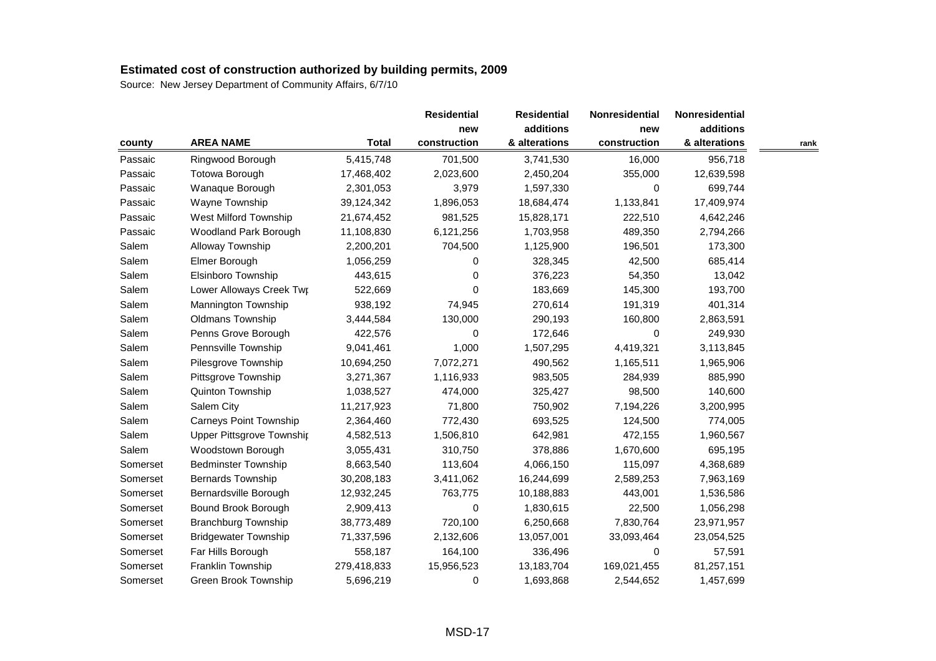| county   |                             |              |              | <b>Residential</b> | Nonresidential | Nonresidential |      |
|----------|-----------------------------|--------------|--------------|--------------------|----------------|----------------|------|
|          |                             |              | new          | additions          | new            | additions      |      |
|          | <b>AREA NAME</b>            | <b>Total</b> | construction | & alterations      | construction   | & alterations  | rank |
| Passaic  | Ringwood Borough            | 5,415,748    | 701,500      | 3,741,530          | 16,000         | 956,718        |      |
| Passaic  | Totowa Borough              | 17,468,402   | 2,023,600    | 2,450,204          | 355,000        | 12,639,598     |      |
| Passaic  | Wanaque Borough             | 2,301,053    | 3,979        | 1,597,330          | 0              | 699,744        |      |
| Passaic  | Wayne Township              | 39,124,342   | 1,896,053    | 18,684,474         | 1,133,841      | 17,409,974     |      |
| Passaic  | West Milford Township       | 21,674,452   | 981,525      | 15,828,171         | 222,510        | 4,642,246      |      |
| Passaic  | Woodland Park Borough       | 11,108,830   | 6,121,256    | 1,703,958          | 489,350        | 2,794,266      |      |
| Salem    | Alloway Township            | 2,200,201    | 704,500      | 1,125,900          | 196,501        | 173,300        |      |
| Salem    | Elmer Borough               | 1,056,259    | 0            | 328,345            | 42,500         | 685,414        |      |
| Salem    | Elsinboro Township          | 443,615      | 0            | 376,223            | 54,350         | 13,042         |      |
| Salem    | Lower Alloways Creek Twp    | 522,669      | 0            | 183,669            | 145,300        | 193,700        |      |
| Salem    | Mannington Township         | 938,192      | 74,945       | 270,614            | 191,319        | 401,314        |      |
| Salem    | Oldmans Township            | 3,444,584    | 130,000      | 290,193            | 160,800        | 2,863,591      |      |
| Salem    | Penns Grove Borough         | 422,576      | 0            | 172,646            | 0              | 249,930        |      |
| Salem    | Pennsville Township         | 9,041,461    | 1,000        | 1,507,295          | 4,419,321      | 3,113,845      |      |
| Salem    | Pilesgrove Township         | 10,694,250   | 7,072,271    | 490,562            | 1,165,511      | 1,965,906      |      |
| Salem    | Pittsgrove Township         | 3,271,367    | 1,116,933    | 983,505            | 284,939        | 885,990        |      |
| Salem    | Quinton Township            | 1,038,527    | 474,000      | 325,427            | 98,500         | 140,600        |      |
| Salem    | Salem City                  | 11,217,923   | 71,800       | 750,902            | 7,194,226      | 3,200,995      |      |
| Salem    | Carneys Point Township      | 2,364,460    | 772,430      | 693,525            | 124,500        | 774,005        |      |
| Salem    | Upper Pittsgrove Townshir   | 4,582,513    | 1,506,810    | 642,981            | 472,155        | 1,960,567      |      |
| Salem    | Woodstown Borough           | 3,055,431    | 310,750      | 378,886            | 1,670,600      | 695,195        |      |
| Somerset | <b>Bedminster Township</b>  | 8,663,540    | 113,604      | 4,066,150          | 115,097        | 4,368,689      |      |
| Somerset | Bernards Township           | 30,208,183   | 3,411,062    | 16,244,699         | 2,589,253      | 7,963,169      |      |
| Somerset | Bernardsville Borough       | 12,932,245   | 763,775      | 10,188,883         | 443,001        | 1,536,586      |      |
| Somerset | Bound Brook Borough         | 2,909,413    | 0            | 1,830,615          | 22,500         | 1,056,298      |      |
| Somerset | <b>Branchburg Township</b>  | 38,773,489   | 720,100      | 6,250,668          | 7,830,764      | 23,971,957     |      |
| Somerset | <b>Bridgewater Township</b> | 71,337,596   | 2,132,606    | 13,057,001         | 33,093,464     | 23,054,525     |      |
| Somerset | Far Hills Borough           | 558,187      | 164,100      | 336,496            | 0              | 57,591         |      |
| Somerset | Franklin Township           | 279,418,833  | 15,956,523   | 13,183,704         | 169,021,455    | 81,257,151     |      |
| Somerset | Green Brook Township        | 5,696,219    | 0            | 1,693,868          | 2,544,652      | 1,457,699      |      |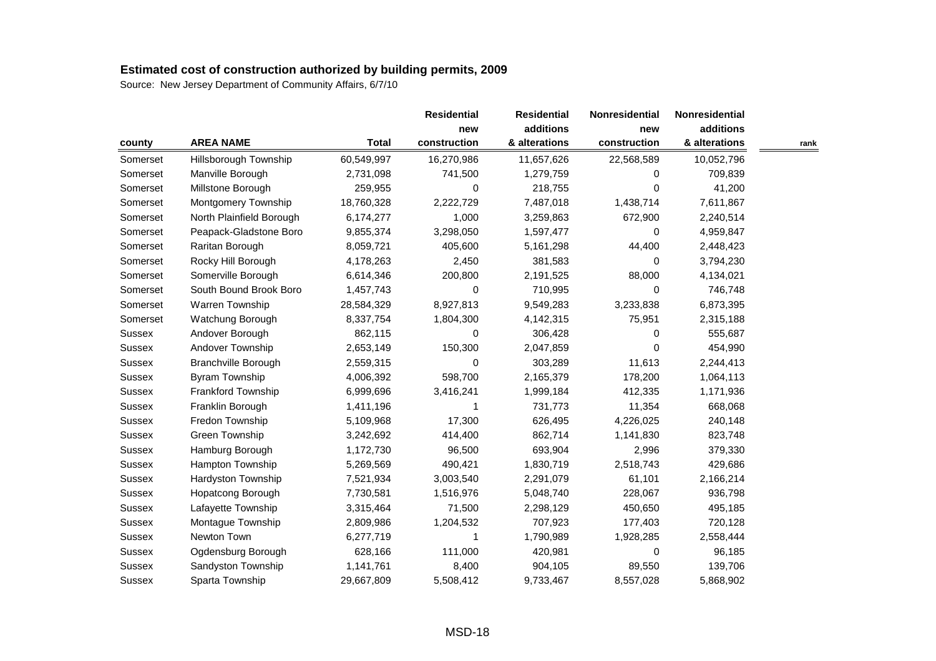| county        |                            |              |              | <b>Residential</b> | Nonresidential | Nonresidential |      |
|---------------|----------------------------|--------------|--------------|--------------------|----------------|----------------|------|
|               |                            |              | new          | additions          | new            | additions      |      |
|               | <b>AREA NAME</b>           | <b>Total</b> | construction | & alterations      | construction   | & alterations  | rank |
| Somerset      | Hillsborough Township      | 60,549,997   | 16,270,986   | 11,657,626         | 22,568,589     | 10,052,796     |      |
| Somerset      | Manville Borough           | 2,731,098    | 741,500      | 1,279,759          | 0              | 709,839        |      |
| Somerset      | Millstone Borough          | 259,955      | 0            | 218,755            | 0              | 41,200         |      |
| Somerset      | Montgomery Township        | 18,760,328   | 2,222,729    | 7,487,018          | 1,438,714      | 7,611,867      |      |
| Somerset      | North Plainfield Borough   | 6,174,277    | 1,000        | 3,259,863          | 672,900        | 2,240,514      |      |
| Somerset      | Peapack-Gladstone Boro     | 9,855,374    | 3,298,050    | 1,597,477          | 0              | 4,959,847      |      |
| Somerset      | Raritan Borough            | 8,059,721    | 405,600      | 5,161,298          | 44,400         | 2,448,423      |      |
| Somerset      | Rocky Hill Borough         | 4,178,263    | 2,450        | 381,583            | 0              | 3,794,230      |      |
| Somerset      | Somerville Borough         | 6,614,346    | 200,800      | 2,191,525          | 88,000         | 4,134,021      |      |
| Somerset      | South Bound Brook Boro     | 1,457,743    | 0            | 710,995            | 0              | 746,748        |      |
| Somerset      | Warren Township            | 28,584,329   | 8,927,813    | 9,549,283          | 3,233,838      | 6,873,395      |      |
| Somerset      | Watchung Borough           | 8,337,754    | 1,804,300    | 4,142,315          | 75,951         | 2,315,188      |      |
| Sussex        | Andover Borough            | 862,115      | 0            | 306,428            | 0              | 555,687        |      |
| <b>Sussex</b> | Andover Township           | 2,653,149    | 150,300      | 2,047,859          | $\mathbf 0$    | 454,990        |      |
| Sussex        | <b>Branchville Borough</b> | 2,559,315    | 0            | 303,289            | 11,613         | 2,244,413      |      |
| Sussex        | <b>Byram Township</b>      | 4,006,392    | 598,700      | 2,165,379          | 178,200        | 1,064,113      |      |
| Sussex        | Frankford Township         | 6,999,696    | 3,416,241    | 1,999,184          | 412,335        | 1,171,936      |      |
| <b>Sussex</b> | Franklin Borough           | 1,411,196    | 1            | 731,773            | 11,354         | 668,068        |      |
| Sussex        | Fredon Township            | 5,109,968    | 17,300       | 626,495            | 4,226,025      | 240,148        |      |
| Sussex        | Green Township             | 3,242,692    | 414,400      | 862,714            | 1,141,830      | 823,748        |      |
| Sussex        | Hamburg Borough            | 1,172,730    | 96,500       | 693,904            | 2,996          | 379,330        |      |
| Sussex        | Hampton Township           | 5,269,569    | 490,421      | 1,830,719          | 2,518,743      | 429,686        |      |
| Sussex        | Hardyston Township         | 7,521,934    | 3,003,540    | 2,291,079          | 61,101         | 2,166,214      |      |
| Sussex        | Hopatcong Borough          | 7,730,581    | 1,516,976    | 5,048,740          | 228,067        | 936,798        |      |
| <b>Sussex</b> | Lafayette Township         | 3,315,464    | 71,500       | 2,298,129          | 450,650        | 495,185        |      |
| Sussex        | Montague Township          | 2,809,986    | 1,204,532    | 707,923            | 177,403        | 720,128        |      |
| Sussex        | Newton Town                | 6,277,719    | 1            | 1,790,989          | 1,928,285      | 2,558,444      |      |
| Sussex        | Ogdensburg Borough         | 628,166      | 111,000      | 420,981            | 0              | 96,185         |      |
| Sussex        | Sandyston Township         | 1,141,761    | 8,400        | 904,105            | 89,550         | 139,706        |      |
| Sussex        | Sparta Township            | 29,667,809   | 5,508,412    | 9,733,467          | 8,557,028      | 5,868,902      |      |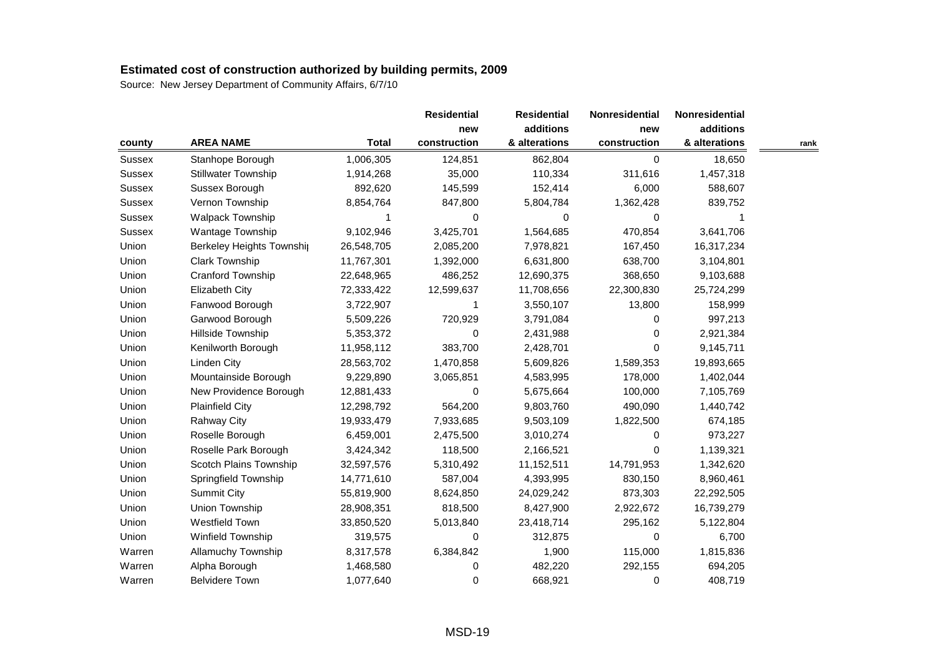| county        |                            |              | <b>Residential</b><br>new | <b>Residential</b><br>additions | Nonresidential<br>new | Nonresidential |      |
|---------------|----------------------------|--------------|---------------------------|---------------------------------|-----------------------|----------------|------|
|               |                            |              |                           |                                 |                       | additions      |      |
|               | <b>AREA NAME</b>           | <b>Total</b> | construction              | & alterations                   | construction          | & alterations  | rank |
| Sussex        | Stanhope Borough           | 1,006,305    | 124,851                   | 862,804                         | $\mathbf 0$           | 18,650         |      |
| Sussex        | <b>Stillwater Township</b> | 1,914,268    | 35,000                    | 110,334                         | 311,616               | 1,457,318      |      |
| Sussex        | Sussex Borough             | 892,620      | 145,599                   | 152,414                         | 6,000                 | 588,607        |      |
| <b>Sussex</b> | Vernon Township            | 8,854,764    | 847,800                   | 5,804,784                       | 1,362,428             | 839,752        |      |
| Sussex        | <b>Walpack Township</b>    |              | 0                         | 0                               | 0                     |                |      |
| <b>Sussex</b> | Wantage Township           | 9,102,946    | 3,425,701                 | 1,564,685                       | 470,854               | 3,641,706      |      |
| Union         | Berkeley Heights Township  | 26,548,705   | 2,085,200                 | 7,978,821                       | 167,450               | 16,317,234     |      |
| Union         | Clark Township             | 11,767,301   | 1,392,000                 | 6,631,800                       | 638,700               | 3,104,801      |      |
| Union         | Cranford Township          | 22,648,965   | 486,252                   | 12,690,375                      | 368,650               | 9,103,688      |      |
| Union         | <b>Elizabeth City</b>      | 72,333,422   | 12,599,637                | 11,708,656                      | 22,300,830            | 25,724,299     |      |
| Union         | Fanwood Borough            | 3,722,907    | 1                         | 3,550,107                       | 13,800                | 158,999        |      |
| Union         | Garwood Borough            | 5,509,226    | 720,929                   | 3,791,084                       | 0                     | 997,213        |      |
| Union         | Hillside Township          | 5,353,372    | 0                         | 2,431,988                       | 0                     | 2,921,384      |      |
| Union         | Kenilworth Borough         | 11,958,112   | 383,700                   | 2,428,701                       | $\Omega$              | 9,145,711      |      |
| Union         | Linden City                | 28,563,702   | 1,470,858                 | 5,609,826                       | 1,589,353             | 19,893,665     |      |
| Union         | Mountainside Borough       | 9,229,890    | 3,065,851                 | 4,583,995                       | 178,000               | 1,402,044      |      |
| Union         | New Providence Borough     | 12,881,433   | 0                         | 5,675,664                       | 100,000               | 7,105,769      |      |
| Union         | <b>Plainfield City</b>     | 12,298,792   | 564,200                   | 9,803,760                       | 490,090               | 1,440,742      |      |
| Union         | <b>Rahway City</b>         | 19,933,479   | 7,933,685                 | 9,503,109                       | 1,822,500             | 674,185        |      |
| Union         | Roselle Borough            | 6,459,001    | 2,475,500                 | 3,010,274                       | 0                     | 973,227        |      |
| Union         | Roselle Park Borough       | 3,424,342    | 118,500                   | 2,166,521                       | 0                     | 1,139,321      |      |
| Union         | Scotch Plains Township     | 32,597,576   | 5,310,492                 | 11,152,511                      | 14,791,953            | 1,342,620      |      |
| Union         | Springfield Township       | 14,771,610   | 587,004                   | 4,393,995                       | 830,150               | 8,960,461      |      |
| Union         | <b>Summit City</b>         | 55,819,900   | 8,624,850                 | 24,029,242                      | 873,303               | 22,292,505     |      |
| Union         | Union Township             | 28,908,351   | 818,500                   | 8,427,900                       | 2,922,672             | 16,739,279     |      |
| Union         | Westfield Town             | 33,850,520   | 5,013,840                 | 23,418,714                      | 295,162               | 5,122,804      |      |
| Union         | Winfield Township          | 319,575      | $\Omega$                  | 312,875                         | 0                     | 6,700          |      |
| Warren        | Allamuchy Township         | 8,317,578    | 6,384,842                 | 1,900                           | 115,000               | 1,815,836      |      |
| Warren        | Alpha Borough              | 1,468,580    | 0                         | 482,220                         | 292,155               | 694,205        |      |
| Warren        | <b>Belvidere Town</b>      | 1,077,640    | 0                         | 668,921                         | 0                     | 408,719        |      |